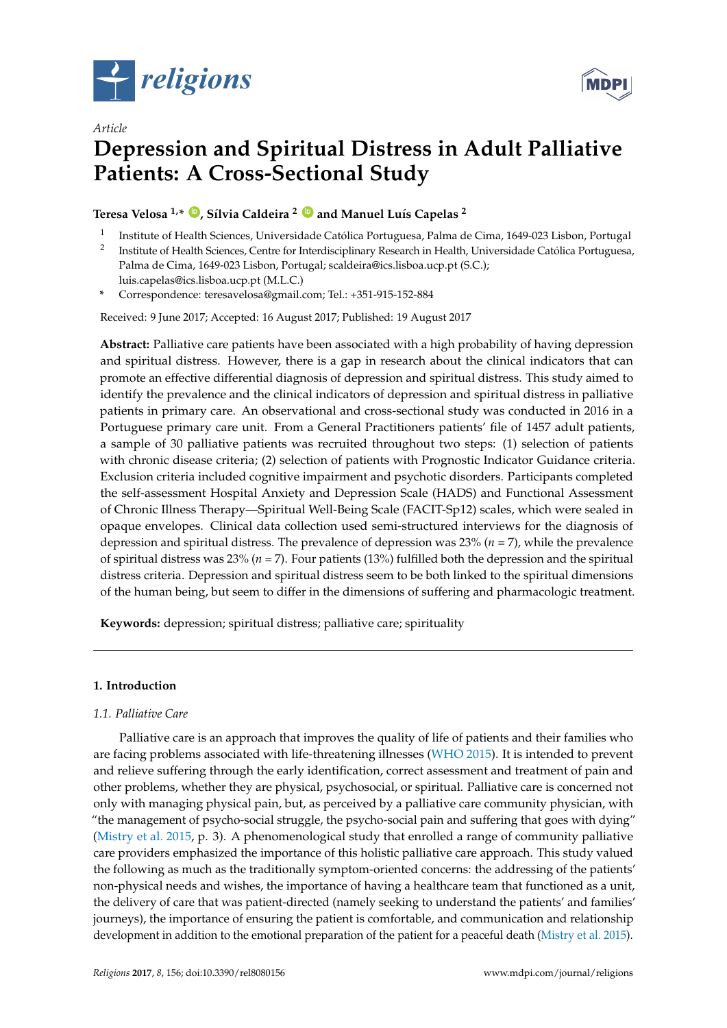

*Article*



# **Depression and Spiritual Distress in Adult Palliative Patients: A Cross-Sectional Study**

**Teresa Velosa 1,\* [ID](https://orcid.org/0000-0001-7628-0932) , Sílvia Caldeira <sup>2</sup> [ID](https://orcid.org/0000-0002-9804-2297) and Manuel Luís Capelas <sup>2</sup>**

- 1 Institute of Health Sciences, Universidade Católica Portuguesa, Palma de Cima, 1649-023 Lisbon, Portugal
- 2 Institute of Health Sciences, Centre for Interdisciplinary Research in Health, Universidade Católica Portuguesa, Palma de Cima, 1649-023 Lisbon, Portugal; scaldeira@ics.lisboa.ucp.pt (S.C.); luis.capelas@ics.lisboa.ucp.pt (M.L.C.)

**\*** Correspondence: teresavelosa@gmail.com; Tel.: +351-915-152-884

Received: 9 June 2017; Accepted: 16 August 2017; Published: 19 August 2017

**Abstract:** Palliative care patients have been associated with a high probability of having depression and spiritual distress. However, there is a gap in research about the clinical indicators that can promote an effective differential diagnosis of depression and spiritual distress. This study aimed to identify the prevalence and the clinical indicators of depression and spiritual distress in palliative patients in primary care. An observational and cross-sectional study was conducted in 2016 in a Portuguese primary care unit. From a General Practitioners patients' file of 1457 adult patients, a sample of 30 palliative patients was recruited throughout two steps: (1) selection of patients with chronic disease criteria; (2) selection of patients with Prognostic Indicator Guidance criteria. Exclusion criteria included cognitive impairment and psychotic disorders. Participants completed the self-assessment Hospital Anxiety and Depression Scale (HADS) and Functional Assessment of Chronic Illness Therapy—Spiritual Well-Being Scale (FACIT-Sp12) scales, which were sealed in opaque envelopes. Clinical data collection used semi-structured interviews for the diagnosis of depression and spiritual distress. The prevalence of depression was 23% (*n* = 7), while the prevalence of spiritual distress was 23% (*n* = 7). Four patients (13%) fulfilled both the depression and the spiritual distress criteria. Depression and spiritual distress seem to be both linked to the spiritual dimensions of the human being, but seem to differ in the dimensions of suffering and pharmacologic treatment.

**Keywords:** depression; spiritual distress; palliative care; spirituality

# **1. Introduction**

# *1.1. Palliative Care*

Palliative care is an approach that improves the quality of life of patients and their families who are facing problems associated with life-threatening illnesses [\(WHO](#page-16-0) [2015\)](#page-16-0). It is intended to prevent and relieve suffering through the early identification, correct assessment and treatment of pain and other problems, whether they are physical, psychosocial, or spiritual. Palliative care is concerned not only with managing physical pain, but, as perceived by a palliative care community physician, with "the management of psycho-social struggle, the psycho-social pain and suffering that goes with dying" [\(Mistry et al.](#page-15-0) [2015,](#page-15-0) p. 3). A phenomenological study that enrolled a range of community palliative care providers emphasized the importance of this holistic palliative care approach. This study valued the following as much as the traditionally symptom-oriented concerns: the addressing of the patients' non-physical needs and wishes, the importance of having a healthcare team that functioned as a unit, the delivery of care that was patient-directed (namely seeking to understand the patients' and families' journeys), the importance of ensuring the patient is comfortable, and communication and relationship development in addition to the emotional preparation of the patient for a peaceful death [\(Mistry et al.](#page-15-0) [2015\)](#page-15-0).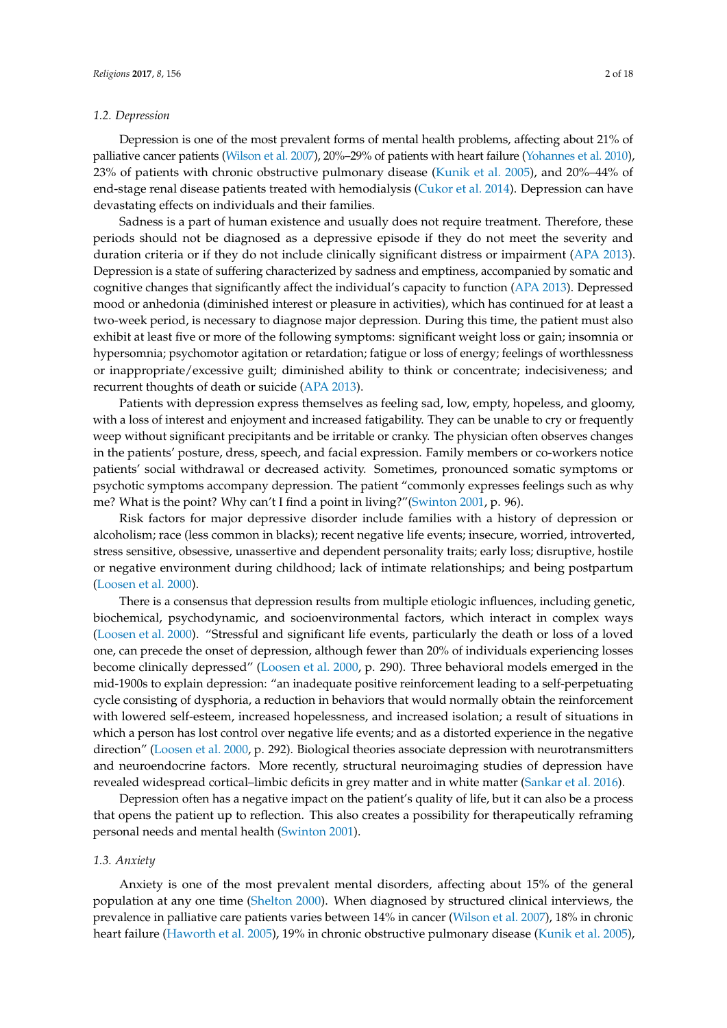## *1.2. Depression*

Depression is one of the most prevalent forms of mental health problems, affecting about 21% of palliative cancer patients [\(Wilson et al.](#page-16-1) [2007\)](#page-16-1), 20%–29% of patients with heart failure [\(Yohannes et al.](#page-17-0) [2010\)](#page-17-0), 23% of patients with chronic obstructive pulmonary disease [\(Kunik et al.](#page-15-1) [2005\)](#page-15-1), and 20%–44% of end-stage renal disease patients treated with hemodialysis [\(Cukor et al.](#page-14-0) [2014\)](#page-14-0). Depression can have devastating effects on individuals and their families.

Sadness is a part of human existence and usually does not require treatment. Therefore, these periods should not be diagnosed as a depressive episode if they do not meet the severity and duration criteria or if they do not include clinically significant distress or impairment [\(APA](#page-13-0) [2013\)](#page-13-0). Depression is a state of suffering characterized by sadness and emptiness, accompanied by somatic and cognitive changes that significantly affect the individual's capacity to function [\(APA](#page-13-0) [2013\)](#page-13-0). Depressed mood or anhedonia (diminished interest or pleasure in activities), which has continued for at least a two-week period, is necessary to diagnose major depression. During this time, the patient must also exhibit at least five or more of the following symptoms: significant weight loss or gain; insomnia or hypersomnia; psychomotor agitation or retardation; fatigue or loss of energy; feelings of worthlessness or inappropriate/excessive guilt; diminished ability to think or concentrate; indecisiveness; and recurrent thoughts of death or suicide [\(APA](#page-13-0) [2013\)](#page-13-0).

Patients with depression express themselves as feeling sad, low, empty, hopeless, and gloomy, with a loss of interest and enjoyment and increased fatigability. They can be unable to cry or frequently weep without significant precipitants and be irritable or cranky. The physician often observes changes in the patients' posture, dress, speech, and facial expression. Family members or co-workers notice patients' social withdrawal or decreased activity. Sometimes, pronounced somatic symptoms or psychotic symptoms accompany depression. The patient "commonly expresses feelings such as why me? What is the point? Why can't I find a point in living?"[\(Swinton](#page-16-2) [2001,](#page-16-2) p. 96).

Risk factors for major depressive disorder include families with a history of depression or alcoholism; race (less common in blacks); recent negative life events; insecure, worried, introverted, stress sensitive, obsessive, unassertive and dependent personality traits; early loss; disruptive, hostile or negative environment during childhood; lack of intimate relationships; and being postpartum [\(Loosen et al.](#page-15-2) [2000\)](#page-15-2).

There is a consensus that depression results from multiple etiologic influences, including genetic, biochemical, psychodynamic, and socioenvironmental factors, which interact in complex ways [\(Loosen et al.](#page-15-2) [2000\)](#page-15-2). "Stressful and significant life events, particularly the death or loss of a loved one, can precede the onset of depression, although fewer than 20% of individuals experiencing losses become clinically depressed" [\(Loosen et al.](#page-15-2) [2000,](#page-15-2) p. 290). Three behavioral models emerged in the mid-1900s to explain depression: "an inadequate positive reinforcement leading to a self-perpetuating cycle consisting of dysphoria, a reduction in behaviors that would normally obtain the reinforcement with lowered self-esteem, increased hopelessness, and increased isolation; a result of situations in which a person has lost control over negative life events; and as a distorted experience in the negative direction" [\(Loosen et al.](#page-15-2) [2000,](#page-15-2) p. 292). Biological theories associate depression with neurotransmitters and neuroendocrine factors. More recently, structural neuroimaging studies of depression have revealed widespread cortical–limbic deficits in grey matter and in white matter [\(Sankar et al.](#page-16-3) [2016\)](#page-16-3).

Depression often has a negative impact on the patient's quality of life, but it can also be a process that opens the patient up to reflection. This also creates a possibility for therapeutically reframing personal needs and mental health [\(Swinton](#page-16-2) [2001\)](#page-16-2).

# *1.3. Anxiety*

Anxiety is one of the most prevalent mental disorders, affecting about 15% of the general population at any one time [\(Shelton](#page-16-4) [2000\)](#page-16-4). When diagnosed by structured clinical interviews, the prevalence in palliative care patients varies between 14% in cancer [\(Wilson et al.](#page-16-1) [2007\)](#page-16-1), 18% in chronic heart failure [\(Haworth et al.](#page-14-1) [2005\)](#page-14-1), 19% in chronic obstructive pulmonary disease [\(Kunik et al.](#page-15-1) [2005\)](#page-15-1),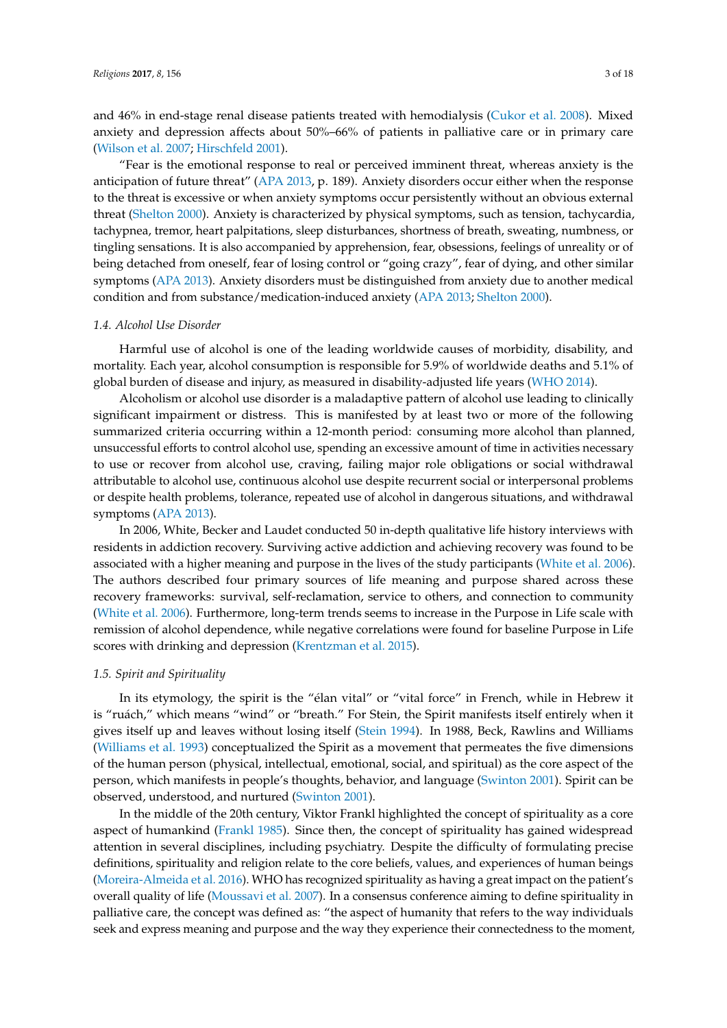and 46% in end-stage renal disease patients treated with hemodialysis [\(Cukor et al.](#page-14-2) [2008\)](#page-14-2). Mixed anxiety and depression affects about 50%–66% of patients in palliative care or in primary care [\(Wilson et al.](#page-16-1) [2007;](#page-16-1) [Hirschfeld](#page-14-3) [2001\)](#page-14-3).

"Fear is the emotional response to real or perceived imminent threat, whereas anxiety is the anticipation of future threat" [\(APA](#page-13-0) [2013,](#page-13-0) p. 189). Anxiety disorders occur either when the response to the threat is excessive or when anxiety symptoms occur persistently without an obvious external threat [\(Shelton](#page-16-4) [2000\)](#page-16-4). Anxiety is characterized by physical symptoms, such as tension, tachycardia, tachypnea, tremor, heart palpitations, sleep disturbances, shortness of breath, sweating, numbness, or tingling sensations. It is also accompanied by apprehension, fear, obsessions, feelings of unreality or of being detached from oneself, fear of losing control or "going crazy", fear of dying, and other similar symptoms [\(APA](#page-13-0) [2013\)](#page-13-0). Anxiety disorders must be distinguished from anxiety due to another medical condition and from substance/medication-induced anxiety [\(APA](#page-13-0) [2013;](#page-13-0) [Shelton](#page-16-4) [2000\)](#page-16-4).

## *1.4. Alcohol Use Disorder*

Harmful use of alcohol is one of the leading worldwide causes of morbidity, disability, and mortality. Each year, alcohol consumption is responsible for 5.9% of worldwide deaths and 5.1% of global burden of disease and injury, as measured in disability-adjusted life years [\(WHO](#page-16-5) [2014\)](#page-16-5).

Alcoholism or alcohol use disorder is a maladaptive pattern of alcohol use leading to clinically significant impairment or distress. This is manifested by at least two or more of the following summarized criteria occurring within a 12-month period: consuming more alcohol than planned, unsuccessful efforts to control alcohol use, spending an excessive amount of time in activities necessary to use or recover from alcohol use, craving, failing major role obligations or social withdrawal attributable to alcohol use, continuous alcohol use despite recurrent social or interpersonal problems or despite health problems, tolerance, repeated use of alcohol in dangerous situations, and withdrawal symptoms [\(APA](#page-13-0) [2013\)](#page-13-0).

In 2006, White, Becker and Laudet conducted 50 in-depth qualitative life history interviews with residents in addiction recovery. Surviving active addiction and achieving recovery was found to be associated with a higher meaning and purpose in the lives of the study participants [\(White et al.](#page-16-6) [2006\)](#page-16-6). The authors described four primary sources of life meaning and purpose shared across these recovery frameworks: survival, self-reclamation, service to others, and connection to community [\(White et al.](#page-16-6) [2006\)](#page-16-6). Furthermore, long-term trends seems to increase in the Purpose in Life scale with remission of alcohol dependence, while negative correlations were found for baseline Purpose in Life scores with drinking and depression [\(Krentzman et al.](#page-15-3) [2015\)](#page-15-3).

## *1.5. Spirit and Spirituality*

In its etymology, the spirit is the "élan vital" or "vital force" in French, while in Hebrew it is "ruách," which means "wind" or "breath." For Stein, the Spirit manifests itself entirely when it gives itself up and leaves without losing itself [\(Stein](#page-16-7) [1994\)](#page-16-7). In 1988, Beck, Rawlins and Williams [\(Williams et al.](#page-16-8) [1993\)](#page-16-8) conceptualized the Spirit as a movement that permeates the five dimensions of the human person (physical, intellectual, emotional, social, and spiritual) as the core aspect of the person, which manifests in people's thoughts, behavior, and language [\(Swinton](#page-16-2) [2001\)](#page-16-2). Spirit can be observed, understood, and nurtured [\(Swinton](#page-16-2) [2001\)](#page-16-2).

In the middle of the 20th century, Viktor Frankl highlighted the concept of spirituality as a core aspect of humankind [\(Frankl](#page-14-4) [1985\)](#page-14-4). Since then, the concept of spirituality has gained widespread attention in several disciplines, including psychiatry. Despite the difficulty of formulating precise definitions, spirituality and religion relate to the core beliefs, values, and experiences of human beings [\(Moreira-Almeida et al.](#page-15-4) [2016\)](#page-15-4). WHO has recognized spirituality as having a great impact on the patient's overall quality of life [\(Moussavi et al.](#page-15-5) [2007\)](#page-15-5). In a consensus conference aiming to define spirituality in palliative care, the concept was defined as: "the aspect of humanity that refers to the way individuals seek and express meaning and purpose and the way they experience their connectedness to the moment,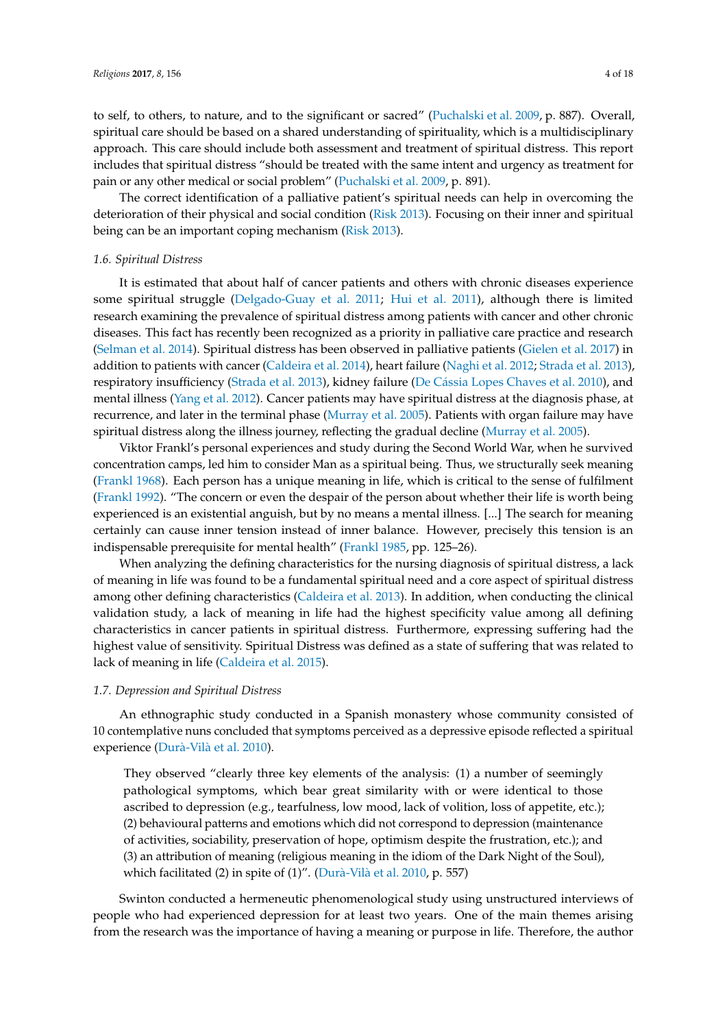to self, to others, to nature, and to the significant or sacred" [\(Puchalski et al.](#page-15-6) [2009,](#page-15-6) p. 887). Overall, spiritual care should be based on a shared understanding of spirituality, which is a multidisciplinary approach. This care should include both assessment and treatment of spiritual distress. This report includes that spiritual distress "should be treated with the same intent and urgency as treatment for pain or any other medical or social problem" [\(Puchalski et al.](#page-15-6) [2009,](#page-15-6) p. 891).

The correct identification of a palliative patient's spiritual needs can help in overcoming the deterioration of their physical and social condition [\(Risk](#page-16-9) [2013\)](#page-16-9). Focusing on their inner and spiritual being can be an important coping mechanism [\(Risk](#page-16-9) [2013\)](#page-16-9).

## *1.6. Spiritual Distress*

It is estimated that about half of cancer patients and others with chronic diseases experience some spiritual struggle [\(Delgado-Guay et al.](#page-14-5) [2011;](#page-14-5) [Hui et al.](#page-15-7) [2011\)](#page-15-7), although there is limited research examining the prevalence of spiritual distress among patients with cancer and other chronic diseases. This fact has recently been recognized as a priority in palliative care practice and research [\(Selman et al.](#page-16-10) [2014\)](#page-16-10). Spiritual distress has been observed in palliative patients [\(Gielen et al.](#page-14-6) [2017\)](#page-14-6) in addition to patients with cancer [\(Caldeira et al.](#page-14-7) [2014\)](#page-14-7), heart failure [\(Naghi et al.](#page-15-8) [2012;](#page-15-8) [Strada et al.](#page-16-11) [2013\)](#page-16-11), respiratory insufficiency [\(Strada et al.](#page-16-11) [2013\)](#page-16-11), kidney failure (De Cá[ssia Lopes Chaves et al.](#page-14-8) [2010\)](#page-14-8), and mental illness [\(Yang et al.](#page-17-1) [2012\)](#page-17-1). Cancer patients may have spiritual distress at the diagnosis phase, at recurrence, and later in the terminal phase [\(Murray et al.](#page-15-9) [2005\)](#page-15-9). Patients with organ failure may have spiritual distress along the illness journey, reflecting the gradual decline [\(Murray et al.](#page-15-9) [2005\)](#page-15-9).

Viktor Frankl's personal experiences and study during the Second World War, when he survived concentration camps, led him to consider Man as a spiritual being. Thus, we structurally seek meaning [\(Frankl](#page-14-9) [1968\)](#page-14-9). Each person has a unique meaning in life, which is critical to the sense of fulfilment [\(Frankl](#page-14-10) [1992\)](#page-14-10). "The concern or even the despair of the person about whether their life is worth being experienced is an existential anguish, but by no means a mental illness. [...] The search for meaning certainly can cause inner tension instead of inner balance. However, precisely this tension is an indispensable prerequisite for mental health" [\(Frankl](#page-14-4) [1985,](#page-14-4) pp. 125–26).

When analyzing the defining characteristics for the nursing diagnosis of spiritual distress, a lack of meaning in life was found to be a fundamental spiritual need and a core aspect of spiritual distress among other defining characteristics [\(Caldeira et al.](#page-13-1) [2013\)](#page-13-1). In addition, when conducting the clinical validation study, a lack of meaning in life had the highest specificity value among all defining characteristics in cancer patients in spiritual distress. Furthermore, expressing suffering had the highest value of sensitivity. Spiritual Distress was defined as a state of suffering that was related to lack of meaning in life [\(Caldeira et al.](#page-14-11) [2015\)](#page-14-11).

#### *1.7. Depression and Spiritual Distress*

An ethnographic study conducted in a Spanish monastery whose community consisted of 10 contemplative nuns concluded that symptoms perceived as a depressive episode reflected a spiritual experience (Durà-Vilà [et al.](#page-14-12) [2010\)](#page-14-12).

They observed "clearly three key elements of the analysis: (1) a number of seemingly pathological symptoms, which bear great similarity with or were identical to those ascribed to depression (e.g., tearfulness, low mood, lack of volition, loss of appetite, etc.); (2) behavioural patterns and emotions which did not correspond to depression (maintenance of activities, sociability, preservation of hope, optimism despite the frustration, etc.); and (3) an attribution of meaning (religious meaning in the idiom of the Dark Night of the Soul), which facilitated (2) in spite of (1)". (Durà-Vilà [et al.](#page-14-12) [2010,](#page-14-12) p. 557)

Swinton conducted a hermeneutic phenomenological study using unstructured interviews of people who had experienced depression for at least two years. One of the main themes arising from the research was the importance of having a meaning or purpose in life. Therefore, the author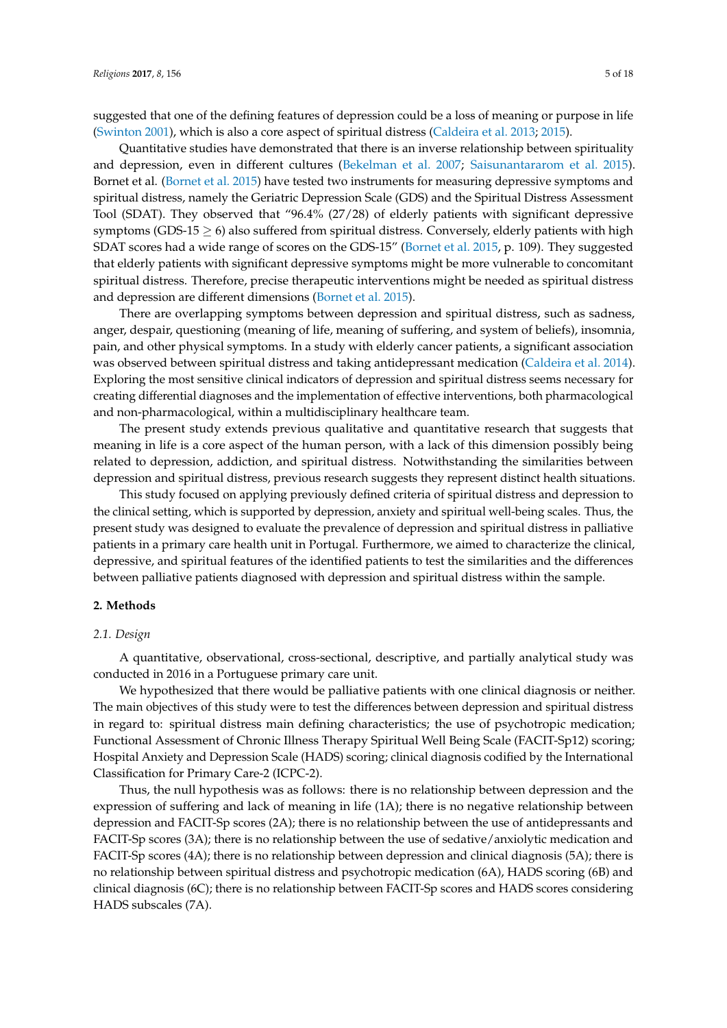suggested that one of the defining features of depression could be a loss of meaning or purpose in life [\(Swinton](#page-16-2) [2001\)](#page-16-2), which is also a core aspect of spiritual distress [\(Caldeira et al.](#page-13-1) [2013;](#page-13-1) [2015\)](#page-14-11).

Quantitative studies have demonstrated that there is an inverse relationship between spirituality and depression, even in different cultures [\(Bekelman et al.](#page-13-2) [2007;](#page-13-2) [Saisunantararom et al.](#page-16-12) [2015\)](#page-16-12). Bornet et al. [\(Bornet et al.](#page-13-3) [2015\)](#page-13-3) have tested two instruments for measuring depressive symptoms and spiritual distress, namely the Geriatric Depression Scale (GDS) and the Spiritual Distress Assessment Tool (SDAT). They observed that "96.4% (27/28) of elderly patients with significant depressive symptoms (GDS-15  $\geq$  6) also suffered from spiritual distress. Conversely, elderly patients with high SDAT scores had a wide range of scores on the GDS-15" [\(Bornet et al.](#page-13-3) [2015,](#page-13-3) p. 109). They suggested that elderly patients with significant depressive symptoms might be more vulnerable to concomitant spiritual distress. Therefore, precise therapeutic interventions might be needed as spiritual distress and depression are different dimensions [\(Bornet et al.](#page-13-3) [2015\)](#page-13-3).

There are overlapping symptoms between depression and spiritual distress, such as sadness, anger, despair, questioning (meaning of life, meaning of suffering, and system of beliefs), insomnia, pain, and other physical symptoms. In a study with elderly cancer patients, a significant association was observed between spiritual distress and taking antidepressant medication [\(Caldeira et al.](#page-14-7) [2014\)](#page-14-7). Exploring the most sensitive clinical indicators of depression and spiritual distress seems necessary for creating differential diagnoses and the implementation of effective interventions, both pharmacological and non-pharmacological, within a multidisciplinary healthcare team.

The present study extends previous qualitative and quantitative research that suggests that meaning in life is a core aspect of the human person, with a lack of this dimension possibly being related to depression, addiction, and spiritual distress. Notwithstanding the similarities between depression and spiritual distress, previous research suggests they represent distinct health situations.

This study focused on applying previously defined criteria of spiritual distress and depression to the clinical setting, which is supported by depression, anxiety and spiritual well-being scales. Thus, the present study was designed to evaluate the prevalence of depression and spiritual distress in palliative patients in a primary care health unit in Portugal. Furthermore, we aimed to characterize the clinical, depressive, and spiritual features of the identified patients to test the similarities and the differences between palliative patients diagnosed with depression and spiritual distress within the sample.

## **2. Methods**

## *2.1. Design*

A quantitative, observational, cross-sectional, descriptive, and partially analytical study was conducted in 2016 in a Portuguese primary care unit.

We hypothesized that there would be palliative patients with one clinical diagnosis or neither. The main objectives of this study were to test the differences between depression and spiritual distress in regard to: spiritual distress main defining characteristics; the use of psychotropic medication; Functional Assessment of Chronic Illness Therapy Spiritual Well Being Scale (FACIT-Sp12) scoring; Hospital Anxiety and Depression Scale (HADS) scoring; clinical diagnosis codified by the International Classification for Primary Care-2 (ICPC-2).

Thus, the null hypothesis was as follows: there is no relationship between depression and the expression of suffering and lack of meaning in life (1A); there is no negative relationship between depression and FACIT-Sp scores (2A); there is no relationship between the use of antidepressants and FACIT-Sp scores (3A); there is no relationship between the use of sedative/anxiolytic medication and FACIT-Sp scores (4A); there is no relationship between depression and clinical diagnosis (5A); there is no relationship between spiritual distress and psychotropic medication (6A), HADS scoring (6B) and clinical diagnosis (6C); there is no relationship between FACIT-Sp scores and HADS scores considering HADS subscales (7A).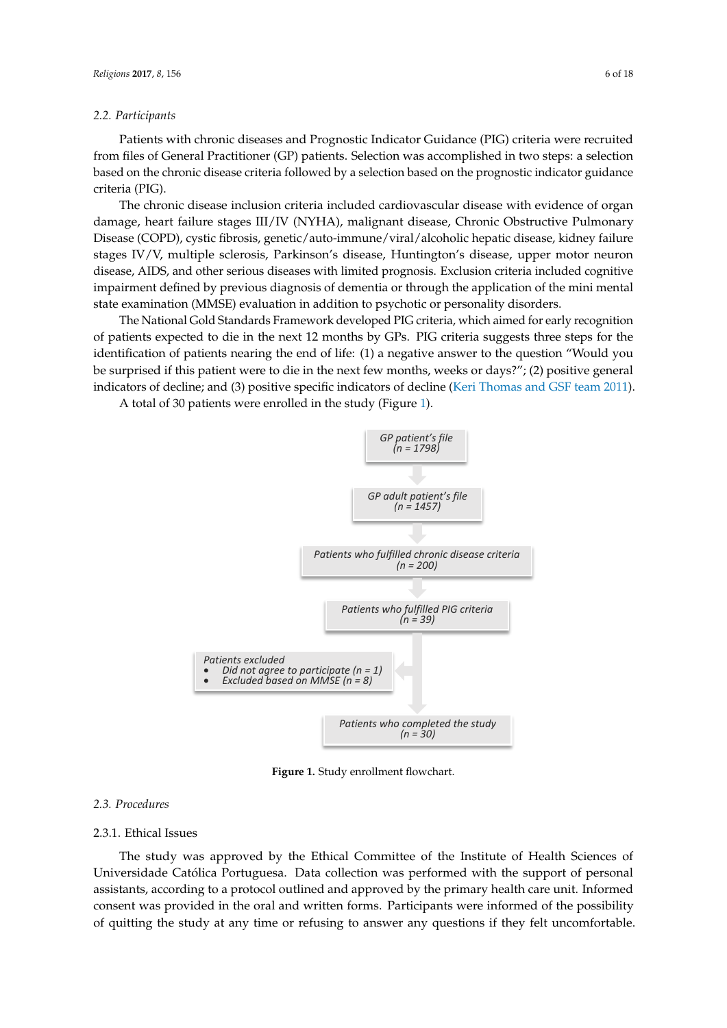## *2.2. Participants*

Patients with chronic diseases and Prognostic Indicator Guidance (PIG) criteria were recruited from files of General Practitioner (GP) patients. Selection was accomplished in two steps: a selection based on the chronic disease criteria followed by a selection based on the prognostic indicator guidance *Religions* **2017**, *8*, 156 6 of 18 criteria (PIG).

The chronic disease inclusion criteria included cardiovascular disease with evidence of organ damage, heart failure stages III/IV (NYHA), malignant disease, Chronic Obstructive Pulmonary Disease (COPD), cystic fibrosis, genetic/auto-immune/viral/alcoholic hepatic disease, kidney failure stages IV/V, multiple sclerosis, Parkinson's disease, Huntington's disease, upper motor neuron disease, AIDS, and other serious diseases with limited prognosis. Exclusion criteria included cognitive impairment defined by previous diagnosis of dementia or through the application of the mini mental state examination (MMSE) evaluation in addition to psychotic or personality disorders. de disease, here is a malignant failure stages III (NYHA), malignant disease, malignant disease, change

The National Gold Standards Framework developed PIG criteria, which aimed for early recognition of patients expected to die in the next 12 months by GPs. PIG criteria suggests three steps for the identification of patients nearing the end of life: (1) a negative answer to the question "Would you be surprised if this patient were to die in the next few months, weeks or days?"; (2) positive general indicators of decline; and (3) positive specific indicators of decline [\(Keri Thomas and GSF team](#page-16-13) [2011\)](#page-16-13). recording to die in the next 12 months by GPs. PIG criteria suggests three steps for the

<span id="page-5-0"></span>A total of 30 patients were enrolled in the study (Figure [1\)](#page-5-0). A total of 30 patients were enrolled in the study (Figure 1).



**Figure 1.** Study enrollment flowchart. **Figure 1.** Study enrollment flowchart.

#### *2.3. Procedures*

## 2.3.1. Ethical Issues

The study was approved by the Ethical Committee of the Institute of Health Sciences of Universidade Católica Portuguesa. Data collection was performed with the support of personal assistants, according to a protocol outlined and approved by the primary health care unit. Informed consent was provided in the oral and written forms. Participants were informed of the possibility recent in the critical where results is a companient time and day for the processing of quitting the study at any time or refusing to answer any questions if they felt uncomfortable.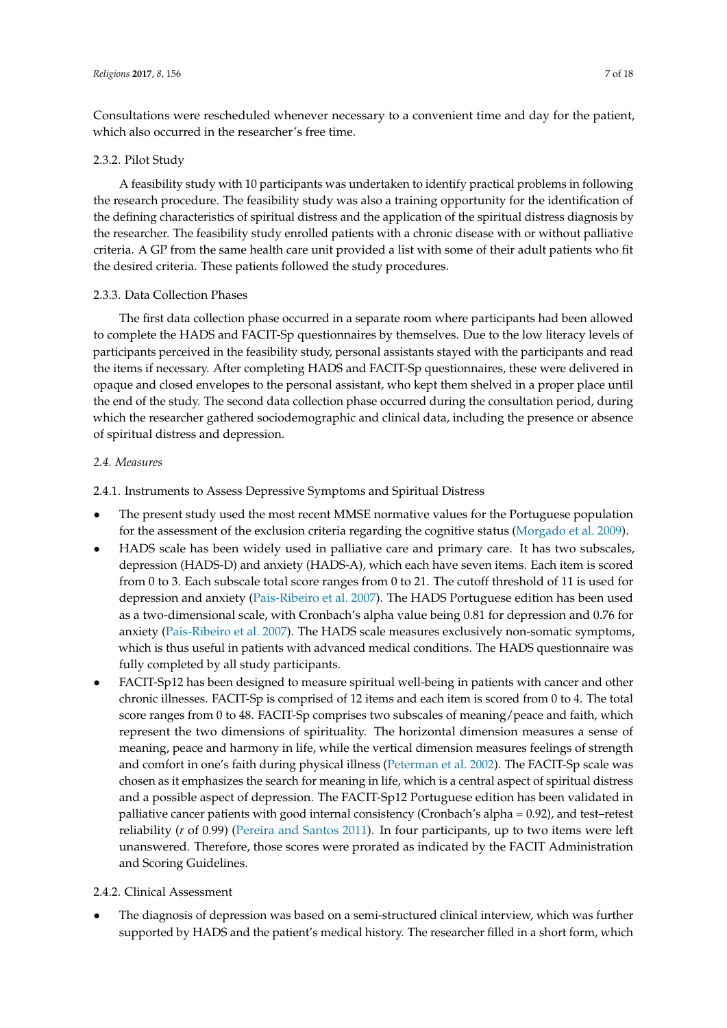Consultations were rescheduled whenever necessary to a convenient time and day for the patient, which also occurred in the researcher's free time.

# 2.3.2. Pilot Study

A feasibility study with 10 participants was undertaken to identify practical problems in following the research procedure. The feasibility study was also a training opportunity for the identification of the defining characteristics of spiritual distress and the application of the spiritual distress diagnosis by the researcher. The feasibility study enrolled patients with a chronic disease with or without palliative criteria. A GP from the same health care unit provided a list with some of their adult patients who fit the desired criteria. These patients followed the study procedures.

# 2.3.3. Data Collection Phases

The first data collection phase occurred in a separate room where participants had been allowed to complete the HADS and FACIT-Sp questionnaires by themselves. Due to the low literacy levels of participants perceived in the feasibility study, personal assistants stayed with the participants and read the items if necessary. After completing HADS and FACIT-Sp questionnaires, these were delivered in opaque and closed envelopes to the personal assistant, who kept them shelved in a proper place until the end of the study. The second data collection phase occurred during the consultation period, during which the researcher gathered sociodemographic and clinical data, including the presence or absence of spiritual distress and depression.

# *2.4. Measures*

2.4.1. Instruments to Assess Depressive Symptoms and Spiritual Distress

- The present study used the most recent MMSE normative values for the Portuguese population for the assessment of the exclusion criteria regarding the cognitive status [\(Morgado et al.](#page-15-10) [2009\)](#page-15-10).
- HADS scale has been widely used in palliative care and primary care. It has two subscales, depression (HADS-D) and anxiety (HADS-A), which each have seven items. Each item is scored from 0 to 3. Each subscale total score ranges from 0 to 21. The cutoff threshold of 11 is used for depression and anxiety [\(Pais-Ribeiro et al.](#page-15-11) [2007\)](#page-15-11). The HADS Portuguese edition has been used as a two-dimensional scale, with Cronbach's alpha value being 0.81 for depression and 0.76 for anxiety [\(Pais-Ribeiro et al.](#page-15-11) [2007\)](#page-15-11). The HADS scale measures exclusively non-somatic symptoms, which is thus useful in patients with advanced medical conditions. The HADS questionnaire was fully completed by all study participants.
- FACIT-Sp12 has been designed to measure spiritual well-being in patients with cancer and other chronic illnesses. FACIT-Sp is comprised of 12 items and each item is scored from 0 to 4. The total score ranges from 0 to 48. FACIT-Sp comprises two subscales of meaning/peace and faith, which represent the two dimensions of spirituality. The horizontal dimension measures a sense of meaning, peace and harmony in life, while the vertical dimension measures feelings of strength and comfort in one's faith during physical illness [\(Peterman et al.](#page-15-12) [2002\)](#page-15-12). The FACIT-Sp scale was chosen as it emphasizes the search for meaning in life, which is a central aspect of spiritual distress and a possible aspect of depression. The FACIT-Sp12 Portuguese edition has been validated in palliative cancer patients with good internal consistency (Cronbach's alpha = 0.92), and test–retest reliability (*r* of 0.99) [\(Pereira and Santos](#page-15-13) [2011\)](#page-15-13). In four participants, up to two items were left unanswered. Therefore, those scores were prorated as indicated by the FACIT Administration and Scoring Guidelines.

# 2.4.2. Clinical Assessment

• The diagnosis of depression was based on a semi-structured clinical interview, which was further supported by HADS and the patient's medical history. The researcher filled in a short form, which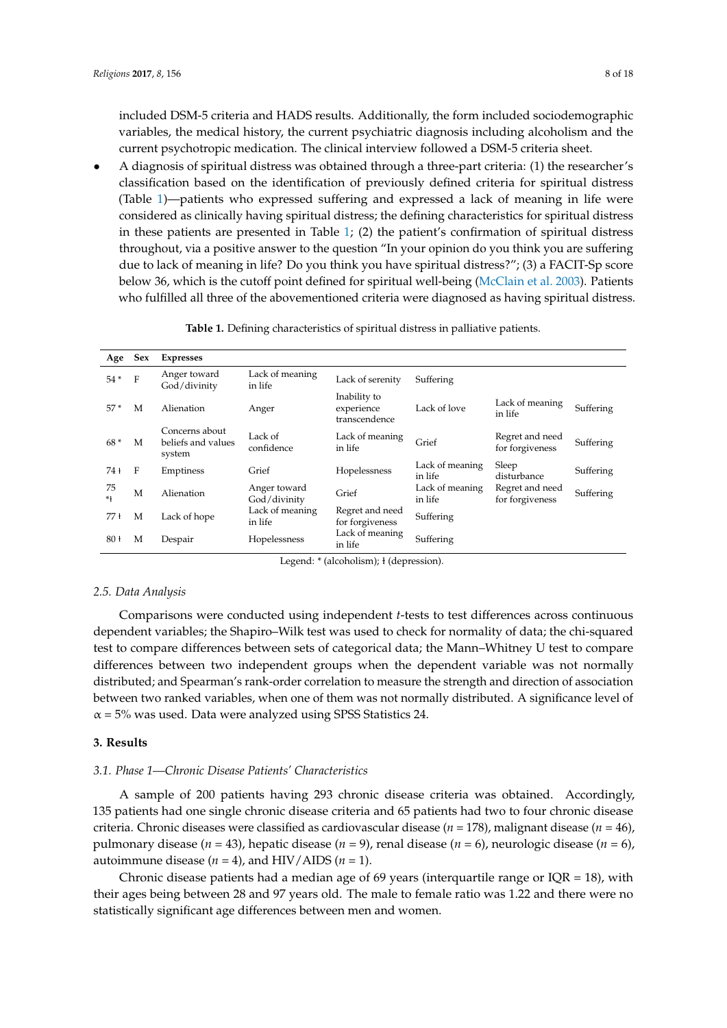included DSM-5 criteria and HADS results. Additionally, the form included sociodemographic variables, the medical history, the current psychiatric diagnosis including alcoholism and the current psychotropic medication. The clinical interview followed a DSM-5 criteria sheet.

• A diagnosis of spiritual distress was obtained through a three-part criteria: (1) the researcher's classification based on the identification of previously defined criteria for spiritual distress (Table [1\)](#page-7-0)—patients who expressed suffering and expressed a lack of meaning in life were considered as clinically having spiritual distress; the defining characteristics for spiritual distress in these patients are presented in Table [1;](#page-7-0) (2) the patient's confirmation of spiritual distress throughout, via a positive answer to the question "In your opinion do you think you are suffering due to lack of meaning in life? Do you think you have spiritual distress?"; (3) a FACIT-Sp score below 36, which is the cutoff point defined for spiritual well-being [\(McClain et al.](#page-15-14) [2003\)](#page-15-14). Patients who fulfilled all three of the abovementioned criteria were diagnosed as having spiritual distress.

<span id="page-7-0"></span>

| Age       | <b>Sex</b> | <b>Expresses</b>                               |                              |                                             |                            |                                    |           |
|-----------|------------|------------------------------------------------|------------------------------|---------------------------------------------|----------------------------|------------------------------------|-----------|
| $54*$     | F          | Anger toward<br>God/divinity                   | Lack of meaning<br>in life   | Lack of serenity                            | Suffering                  |                                    |           |
| $57*$     | M          | Alienation                                     | Anger                        | Inability to<br>experience<br>transcendence | Lack of love               | Lack of meaning<br>in life         | Suffering |
| $68*$     | M          | Concerns about<br>beliefs and values<br>system | Lack of<br>confidence        | Lack of meaning<br>in life                  | Grief                      | Regret and need<br>for forgiveness | Suffering |
| 74 t      | F          | Emptiness                                      | Grief                        | Hopelessness                                | Lack of meaning<br>in life | Sleep<br>disturbance               | Suffering |
| 75<br>$*$ | М          | Alienation                                     | Anger toward<br>God/divinity | Grief                                       | Lack of meaning<br>in life | Regret and need<br>for forgiveness | Suffering |
| 77 t      | M          | Lack of hope                                   | Lack of meaning<br>in life   | Regret and need<br>for forgiveness          | Suffering                  |                                    |           |
| 80 +      | М          | Despair                                        | Hopelessness                 | Lack of meaning<br>in life                  | Suffering                  |                                    |           |

**Table 1.** Defining characteristics of spiritual distress in palliative patients.

Legend: \* (alcoholism); ł (depression).

## *2.5. Data Analysis*

Comparisons were conducted using independent *t*-tests to test differences across continuous dependent variables; the Shapiro–Wilk test was used to check for normality of data; the chi-squared test to compare differences between sets of categorical data; the Mann–Whitney U test to compare differences between two independent groups when the dependent variable was not normally distributed; and Spearman's rank-order correlation to measure the strength and direction of association between two ranked variables, when one of them was not normally distributed. A significance level of  $\alpha$  = 5% was used. Data were analyzed using SPSS Statistics 24.

# **3. Results**

# *3.1. Phase 1—Chronic Disease Patients' Characteristics*

A sample of 200 patients having 293 chronic disease criteria was obtained. Accordingly, 135 patients had one single chronic disease criteria and 65 patients had two to four chronic disease criteria. Chronic diseases were classified as cardiovascular disease (*n* = 178), malignant disease (*n* = 46), pulmonary disease (*n* = 43), hepatic disease (*n* = 9), renal disease (*n* = 6), neurologic disease (*n* = 6), autoimmune disease  $(n = 4)$ , and HIV/AIDS  $(n = 1)$ .

Chronic disease patients had a median age of 69 years (interquartile range or IQR = 18), with their ages being between 28 and 97 years old. The male to female ratio was 1.22 and there were no statistically significant age differences between men and women.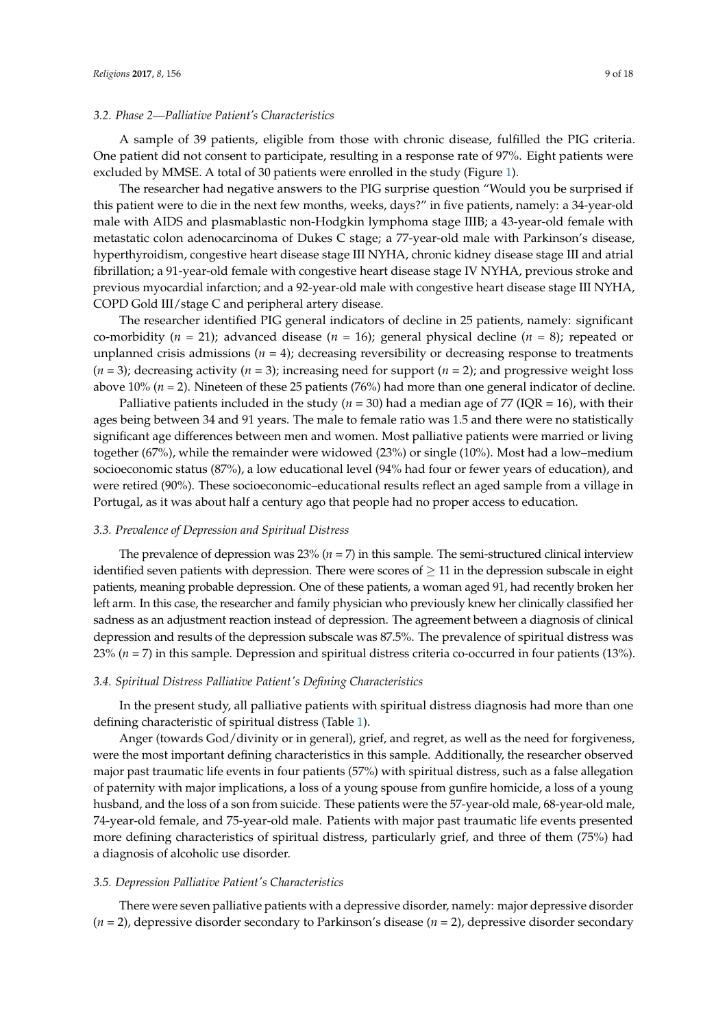## *3.2. Phase 2—Palliative Patient's Characteristics*

A sample of 39 patients, eligible from those with chronic disease, fulfilled the PIG criteria. One patient did not consent to participate, resulting in a response rate of 97%. Eight patients were excluded by MMSE. A total of 30 patients were enrolled in the study (Figure [1\)](#page-5-0).

The researcher had negative answers to the PIG surprise question "Would you be surprised if this patient were to die in the next few months, weeks, days?" in five patients, namely: a 34-year-old male with AIDS and plasmablastic non-Hodgkin lymphoma stage IIIB; a 43-year-old female with metastatic colon adenocarcinoma of Dukes C stage; a 77-year-old male with Parkinson's disease, hyperthyroidism, congestive heart disease stage III NYHA, chronic kidney disease stage III and atrial fibrillation; a 91-year-old female with congestive heart disease stage IV NYHA, previous stroke and previous myocardial infarction; and a 92-year-old male with congestive heart disease stage III NYHA, COPD Gold III/stage C and peripheral artery disease.

The researcher identified PIG general indicators of decline in 25 patients, namely: significant co-morbidity (*n* = 21); advanced disease (*n* = 16); general physical decline (*n* = 8); repeated or unplanned crisis admissions  $(n = 4)$ ; decreasing reversibility or decreasing response to treatments  $(n = 3)$ ; decreasing activity  $(n = 3)$ ; increasing need for support  $(n = 2)$ ; and progressive weight loss above 10% (*n* = 2). Nineteen of these 25 patients (76%) had more than one general indicator of decline.

Palliative patients included in the study ( $n = 30$ ) had a median age of 77 (IQR = 16), with their ages being between 34 and 91 years. The male to female ratio was 1.5 and there were no statistically significant age differences between men and women. Most palliative patients were married or living together (67%), while the remainder were widowed (23%) or single (10%). Most had a low–medium socioeconomic status (87%), a low educational level (94% had four or fewer years of education), and were retired (90%). These socioeconomic–educational results reflect an aged sample from a village in Portugal, as it was about half a century ago that people had no proper access to education.

## *3.3. Prevalence of Depression and Spiritual Distress*

The prevalence of depression was 23% (*n* = 7) in this sample. The semi-structured clinical interview identified seven patients with depression. There were scores of  $\geq 11$  in the depression subscale in eight patients, meaning probable depression. One of these patients, a woman aged 91, had recently broken her left arm. In this case, the researcher and family physician who previously knew her clinically classified her sadness as an adjustment reaction instead of depression. The agreement between a diagnosis of clinical depression and results of the depression subscale was 87.5%. The prevalence of spiritual distress was 23% (*n* = 7) in this sample. Depression and spiritual distress criteria co-occurred in four patients (13%).

# *3.4. Spiritual Distress Palliative Patient's Defining Characteristics*

In the present study, all palliative patients with spiritual distress diagnosis had more than one defining characteristic of spiritual distress (Table [1\)](#page-7-0).

Anger (towards God/divinity or in general), grief, and regret, as well as the need for forgiveness, were the most important defining characteristics in this sample. Additionally, the researcher observed major past traumatic life events in four patients (57%) with spiritual distress, such as a false allegation of paternity with major implications, a loss of a young spouse from gunfire homicide, a loss of a young husband, and the loss of a son from suicide. These patients were the 57-year-old male, 68-year-old male, 74-year-old female, and 75-year-old male. Patients with major past traumatic life events presented more defining characteristics of spiritual distress, particularly grief, and three of them (75%) had a diagnosis of alcoholic use disorder.

#### *3.5. Depression Palliative Patient's Characteristics*

There were seven palliative patients with a depressive disorder, namely: major depressive disorder (*n* = 2), depressive disorder secondary to Parkinson's disease (*n* = 2), depressive disorder secondary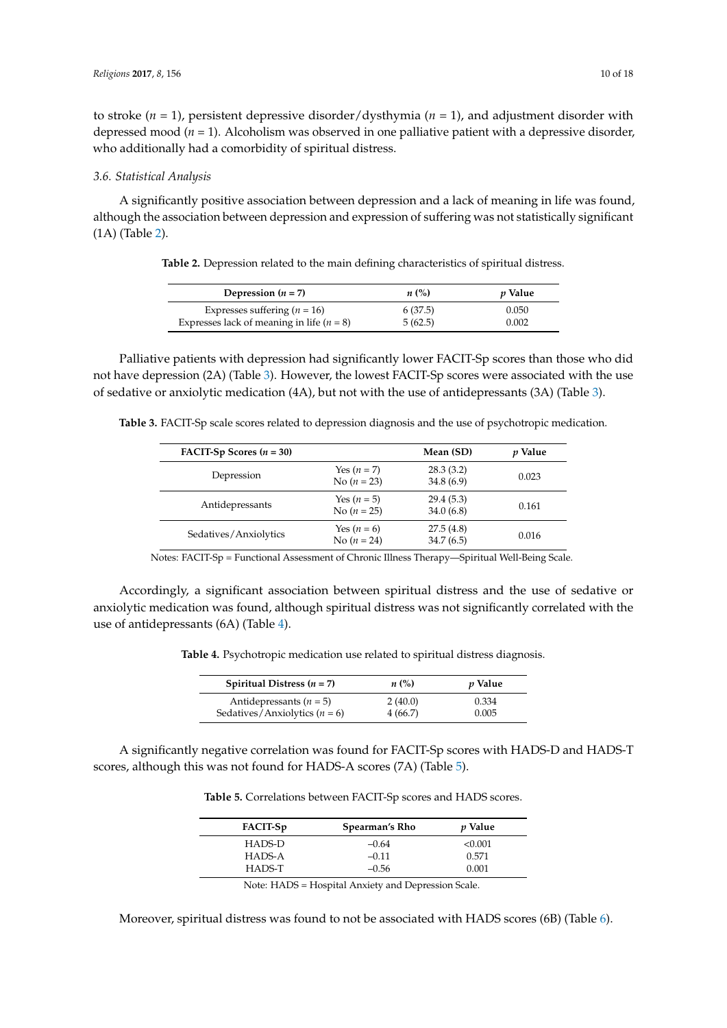to stroke (*n* = 1), persistent depressive disorder/dysthymia (*n* = 1), and adjustment disorder with depressed mood (*n* = 1). Alcoholism was observed in one palliative patient with a depressive disorder, who additionally had a comorbidity of spiritual distress.

#### *3.6. Statistical Analysis*

<span id="page-9-0"></span>A significantly positive association between depression and a lack of meaning in life was found, although the association between depression and expression of suffering was not statistically significant (1A) (Table [2\)](#page-9-0).

**Table 2.** Depression related to the main defining characteristics of spiritual distress.

| Depression $(n = 7)$                        | $n\ (\%)$ | <i>v</i> Value |
|---------------------------------------------|-----------|----------------|
| Expresses suffering $(n = 16)$              | 6(37.5)   | 0.050          |
| Expresses lack of meaning in life $(n = 8)$ | 5(62.5)   | 0.002          |

Palliative patients with depression had significantly lower FACIT-Sp scores than those who did not have depression (2A) (Table [3\)](#page-9-1). However, the lowest FACIT-Sp scores were associated with the use of sedative or anxiolytic medication (4A), but not with the use of antidepressants (3A) (Table [3\)](#page-9-1).

<span id="page-9-1"></span>**Table 3.** FACIT-Sp scale scores related to depression diagnosis and the use of psychotropic medication.

| <b>FACIT-Sp Scores <math>(n = 30)</math></b> |                                | Mean (SD)              | <i>v</i> Value |
|----------------------------------------------|--------------------------------|------------------------|----------------|
| Depression                                   | Yes $(n=7)$<br>No $(n = 23)$   | 28.3(3.2)<br>34.8(6.9) | 0.023          |
| Antidepressants                              | Yes $(n=5)$<br>No $(n = 25)$   | 29.4(5.3)<br>34.0(6.8) | 0.161          |
| Sedatives/Anxiolytics                        | Yes $(n = 6)$<br>No $(n = 24)$ | 27.5(4.8)<br>34.7(6.5) | 0.016          |

Notes: FACIT-Sp = Functional Assessment of Chronic Illness Therapy—Spiritual Well-Being Scale.

<span id="page-9-2"></span>Accordingly, a significant association between spiritual distress and the use of sedative or anxiolytic medication was found, although spiritual distress was not significantly correlated with the use of antidepressants (6A) (Table [4\)](#page-9-2).

**Table 4.** Psychotropic medication use related to spiritual distress diagnosis.

| Spiritual Distress $(n = 7)$    | $n\ (\%)$ | <i>p</i> Value |
|---------------------------------|-----------|----------------|
| Antidepressants ( $n = 5$ )     | 2(40.0)   | 0.334          |
| Sedatives/Anxiolytics $(n = 6)$ | 4(66.7)   | 0.005          |

<span id="page-9-3"></span>A significantly negative correlation was found for FACIT-Sp scores with HADS-D and HADS-T scores, although this was not found for HADS-A scores (7A) (Table [5\)](#page-9-3).

**Table 5.** Correlations between FACIT-Sp scores and HADS scores.

| FACIT-Sp | Spearman's Rho | <i>v</i> Value |
|----------|----------------|----------------|
| HADS-D   | $-0.64$        | < 0.001        |
| HADS-A   | $-0.11$        | 0.571          |
| HADS-T   | $-0.56$        | 0.001          |

Note: HADS = Hospital Anxiety and Depression Scale.

Moreover, spiritual distress was found to not be associated with HADS scores (6B) (Table [6\)](#page-10-0).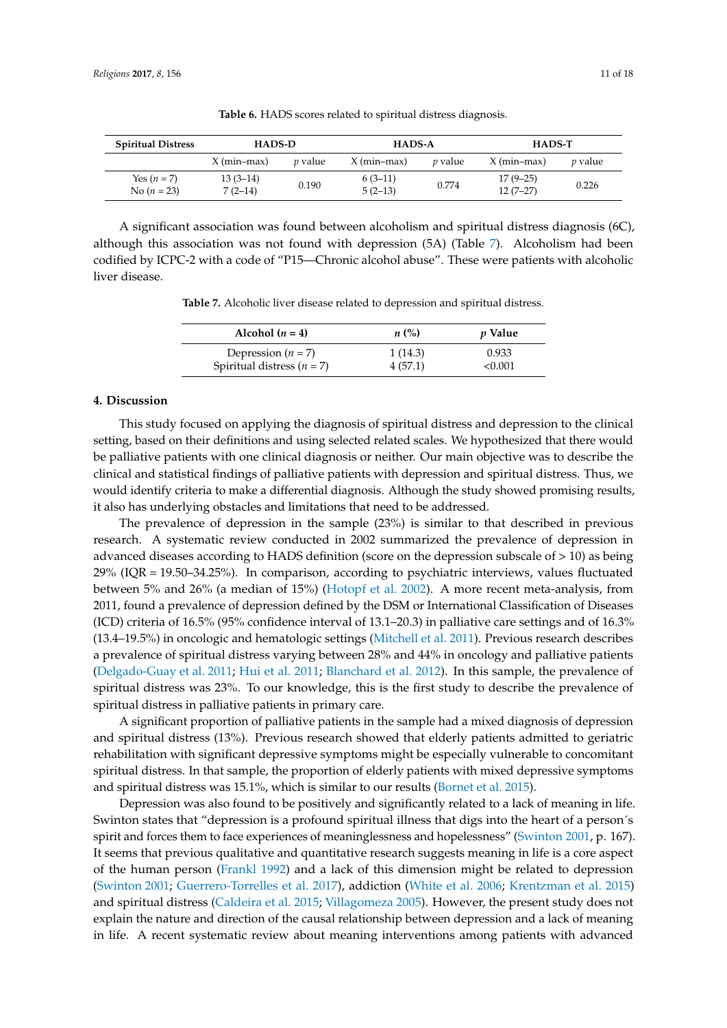<span id="page-10-0"></span>

| <b>Spiritual Distress</b>    | HADS-D                  |                | <b>HADS-A</b>          |                | <b>HADS-T</b>            |                |
|------------------------------|-------------------------|----------------|------------------------|----------------|--------------------------|----------------|
|                              | $X$ (min-max)           | <i>v</i> value | $X$ (min-max)          | <i>v</i> value | $X$ (min-max)            | <i>v</i> value |
| Yes $(n=7)$<br>No $(n = 23)$ | $13(3-14)$<br>$7(2-14)$ | 0.190          | $6(3-11)$<br>$5(2-13)$ | 0.774          | $17(9-25)$<br>$12(7-27)$ | 0.226          |

**Table 6.** HADS scores related to spiritual distress diagnosis.

<span id="page-10-1"></span>A significant association was found between alcoholism and spiritual distress diagnosis (6C), although this association was not found with depression (5A) (Table [7\)](#page-10-1). Alcoholism had been codified by ICPC-2 with a code of "P15—Chronic alcohol abuse". These were patients with alcoholic liver disease.

**Table 7.** Alcoholic liver disease related to depression and spiritual distress.

| Alcohol $(n = 4)$              | $n\ (\%)$ | <i>p</i> Value |
|--------------------------------|-----------|----------------|
| Depression $(n = 7)$           | 1(14.3)   | 0.933          |
| Spiritual distress ( $n = 7$ ) | 4(57.1)   | < 0.001        |

## **4. Discussion**

This study focused on applying the diagnosis of spiritual distress and depression to the clinical setting, based on their definitions and using selected related scales. We hypothesized that there would be palliative patients with one clinical diagnosis or neither. Our main objective was to describe the clinical and statistical findings of palliative patients with depression and spiritual distress. Thus, we would identify criteria to make a differential diagnosis. Although the study showed promising results, it also has underlying obstacles and limitations that need to be addressed.

The prevalence of depression in the sample (23%) is similar to that described in previous research. A systematic review conducted in 2002 summarized the prevalence of depression in advanced diseases according to HADS definition (score on the depression subscale of > 10) as being 29% (IQR = 19.50–34.25%). In comparison, according to psychiatric interviews, values fluctuated between 5% and 26% (a median of 15%) [\(Hotopf et al.](#page-15-15) [2002\)](#page-15-15). A more recent meta-analysis, from 2011, found a prevalence of depression defined by the DSM or International Classification of Diseases (ICD) criteria of 16.5% (95% confidence interval of 13.1–20.3) in palliative care settings and of 16.3% (13.4–19.5%) in oncologic and hematologic settings [\(Mitchell et al.](#page-15-16) [2011\)](#page-15-16). Previous research describes a prevalence of spiritual distress varying between 28% and 44% in oncology and palliative patients [\(Delgado-Guay et al.](#page-14-5) [2011;](#page-14-5) [Hui et al.](#page-15-7) [2011;](#page-15-7) [Blanchard et al.](#page-13-4) [2012\)](#page-13-4). In this sample, the prevalence of spiritual distress was 23%. To our knowledge, this is the first study to describe the prevalence of spiritual distress in palliative patients in primary care.

A significant proportion of palliative patients in the sample had a mixed diagnosis of depression and spiritual distress (13%). Previous research showed that elderly patients admitted to geriatric rehabilitation with significant depressive symptoms might be especially vulnerable to concomitant spiritual distress. In that sample, the proportion of elderly patients with mixed depressive symptoms and spiritual distress was 15.1%, which is similar to our results [\(Bornet et al.](#page-13-3) [2015\)](#page-13-3).

Depression was also found to be positively and significantly related to a lack of meaning in life. Swinton states that "depression is a profound spiritual illness that digs into the heart of a person´s spirit and forces them to face experiences of meaninglessness and hopelessness" [\(Swinton](#page-16-2) [2001,](#page-16-2) p. 167). It seems that previous qualitative and quantitative research suggests meaning in life is a core aspect of the human person [\(Frankl](#page-14-10) [1992\)](#page-14-10) and a lack of this dimension might be related to depression [\(Swinton](#page-16-2) [2001;](#page-16-2) [Guerrero-Torrelles et al.](#page-14-13) [2017\)](#page-14-13), addiction [\(White et al.](#page-16-6) [2006;](#page-16-6) [Krentzman et al.](#page-15-3) [2015\)](#page-15-3) and spiritual distress [\(Caldeira et al.](#page-14-11) [2015;](#page-14-11) [Villagomeza](#page-16-14) [2005\)](#page-16-14). However, the present study does not explain the nature and direction of the causal relationship between depression and a lack of meaning in life. A recent systematic review about meaning interventions among patients with advanced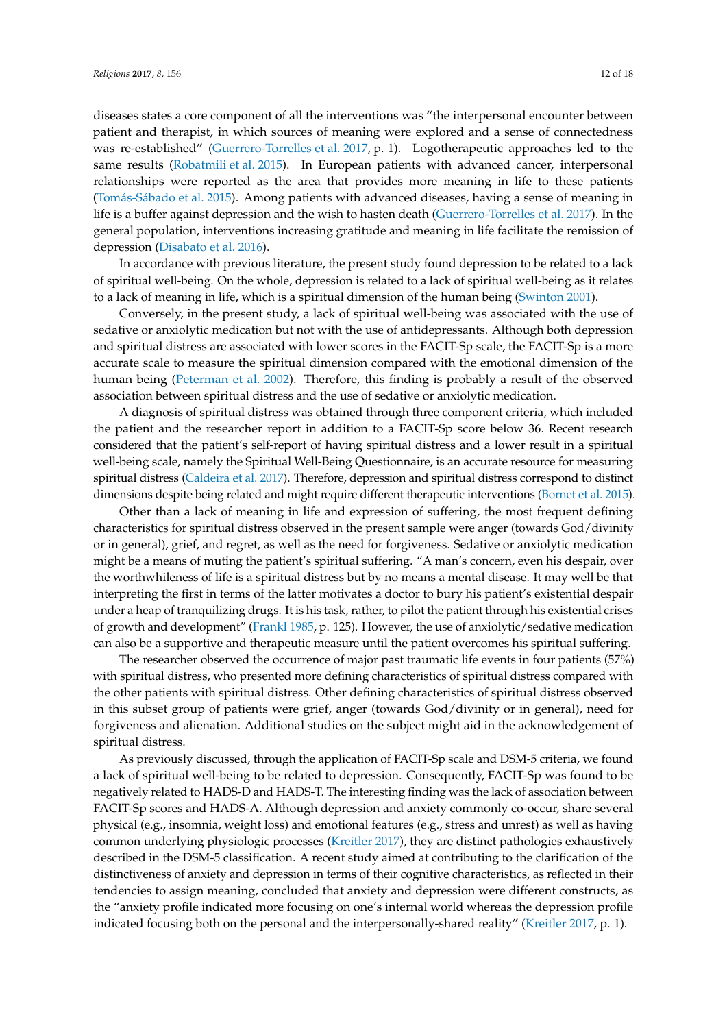diseases states a core component of all the interventions was "the interpersonal encounter between patient and therapist, in which sources of meaning were explored and a sense of connectedness was re-established" [\(Guerrero-Torrelles et al.](#page-14-13) [2017,](#page-14-13) p. 1). Logotherapeutic approaches led to the same results [\(Robatmili et al.](#page-16-15) [2015\)](#page-16-15). In European patients with advanced cancer, interpersonal relationships were reported as the area that provides more meaning in life to these patients (Tomás-Sá[bado et al.](#page-16-16) [2015\)](#page-16-16). Among patients with advanced diseases, having a sense of meaning in life is a buffer against depression and the wish to hasten death [\(Guerrero-Torrelles et al.](#page-14-13) [2017\)](#page-14-13). In the general population, interventions increasing gratitude and meaning in life facilitate the remission of depression [\(Disabato et al.](#page-14-14) [2016\)](#page-14-14).

In accordance with previous literature, the present study found depression to be related to a lack of spiritual well-being. On the whole, depression is related to a lack of spiritual well-being as it relates to a lack of meaning in life, which is a spiritual dimension of the human being [\(Swinton](#page-16-2) [2001\)](#page-16-2).

Conversely, in the present study, a lack of spiritual well-being was associated with the use of sedative or anxiolytic medication but not with the use of antidepressants. Although both depression and spiritual distress are associated with lower scores in the FACIT-Sp scale, the FACIT-Sp is a more accurate scale to measure the spiritual dimension compared with the emotional dimension of the human being [\(Peterman et al.](#page-15-12) [2002\)](#page-15-12). Therefore, this finding is probably a result of the observed association between spiritual distress and the use of sedative or anxiolytic medication.

A diagnosis of spiritual distress was obtained through three component criteria, which included the patient and the researcher report in addition to a FACIT-Sp score below 36. Recent research considered that the patient's self-report of having spiritual distress and a lower result in a spiritual well-being scale, namely the Spiritual Well-Being Questionnaire, is an accurate resource for measuring spiritual distress [\(Caldeira et al.](#page-14-15) [2017\)](#page-14-15). Therefore, depression and spiritual distress correspond to distinct dimensions despite being related and might require different therapeutic interventions [\(Bornet et al.](#page-13-3) [2015\)](#page-13-3).

Other than a lack of meaning in life and expression of suffering, the most frequent defining characteristics for spiritual distress observed in the present sample were anger (towards God/divinity or in general), grief, and regret, as well as the need for forgiveness. Sedative or anxiolytic medication might be a means of muting the patient's spiritual suffering. "A man's concern, even his despair, over the worthwhileness of life is a spiritual distress but by no means a mental disease. It may well be that interpreting the first in terms of the latter motivates a doctor to bury his patient's existential despair under a heap of tranquilizing drugs. It is his task, rather, to pilot the patient through his existential crises of growth and development" [\(Frankl](#page-14-4) [1985,](#page-14-4) p. 125). However, the use of anxiolytic/sedative medication can also be a supportive and therapeutic measure until the patient overcomes his spiritual suffering.

The researcher observed the occurrence of major past traumatic life events in four patients (57%) with spiritual distress, who presented more defining characteristics of spiritual distress compared with the other patients with spiritual distress. Other defining characteristics of spiritual distress observed in this subset group of patients were grief, anger (towards God/divinity or in general), need for forgiveness and alienation. Additional studies on the subject might aid in the acknowledgement of spiritual distress.

As previously discussed, through the application of FACIT-Sp scale and DSM-5 criteria, we found a lack of spiritual well-being to be related to depression. Consequently, FACIT-Sp was found to be negatively related to HADS-D and HADS-T. The interesting finding was the lack of association between FACIT-Sp scores and HADS-A. Although depression and anxiety commonly co-occur, share several physical (e.g., insomnia, weight loss) and emotional features (e.g., stress and unrest) as well as having common underlying physiologic processes [\(Kreitler](#page-15-17) [2017\)](#page-15-17), they are distinct pathologies exhaustively described in the DSM-5 classification. A recent study aimed at contributing to the clarification of the distinctiveness of anxiety and depression in terms of their cognitive characteristics, as reflected in their tendencies to assign meaning, concluded that anxiety and depression were different constructs, as the "anxiety profile indicated more focusing on one's internal world whereas the depression profile indicated focusing both on the personal and the interpersonally-shared reality" [\(Kreitler](#page-15-17) [2017,](#page-15-17) p. 1).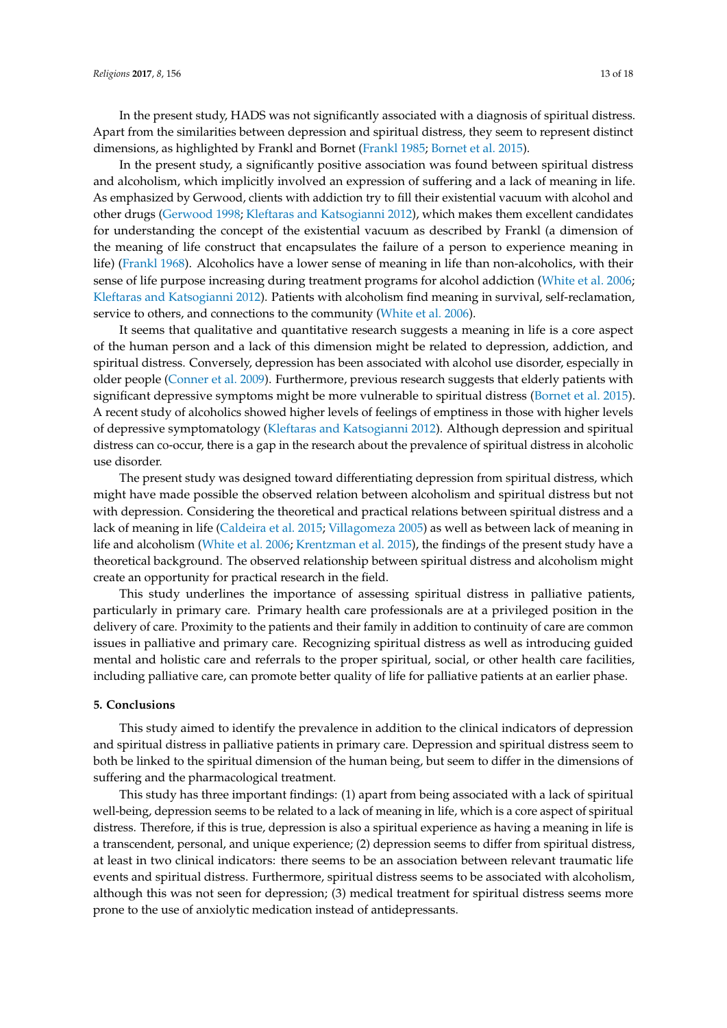In the present study, HADS was not significantly associated with a diagnosis of spiritual distress. Apart from the similarities between depression and spiritual distress, they seem to represent distinct dimensions, as highlighted by Frankl and Bornet [\(Frankl](#page-14-4) [1985;](#page-14-4) [Bornet et al.](#page-13-3) [2015\)](#page-13-3).

In the present study, a significantly positive association was found between spiritual distress and alcoholism, which implicitly involved an expression of suffering and a lack of meaning in life. As emphasized by Gerwood, clients with addiction try to fill their existential vacuum with alcohol and other drugs [\(Gerwood](#page-14-16) [1998;](#page-14-16) [Kleftaras and Katsogianni](#page-15-18) [2012\)](#page-15-18), which makes them excellent candidates for understanding the concept of the existential vacuum as described by Frankl (a dimension of the meaning of life construct that encapsulates the failure of a person to experience meaning in life) [\(Frankl](#page-14-9) [1968\)](#page-14-9). Alcoholics have a lower sense of meaning in life than non-alcoholics, with their sense of life purpose increasing during treatment programs for alcohol addiction [\(White et al.](#page-16-6) [2006;](#page-16-6) [Kleftaras and Katsogianni](#page-15-18) [2012\)](#page-15-18). Patients with alcoholism find meaning in survival, self-reclamation, service to others, and connections to the community [\(White et al.](#page-16-6) [2006\)](#page-16-6).

It seems that qualitative and quantitative research suggests a meaning in life is a core aspect of the human person and a lack of this dimension might be related to depression, addiction, and spiritual distress. Conversely, depression has been associated with alcohol use disorder, especially in older people [\(Conner et al.](#page-14-17) [2009\)](#page-14-17). Furthermore, previous research suggests that elderly patients with significant depressive symptoms might be more vulnerable to spiritual distress [\(Bornet et al.](#page-13-3) [2015\)](#page-13-3). A recent study of alcoholics showed higher levels of feelings of emptiness in those with higher levels of depressive symptomatology [\(Kleftaras and Katsogianni](#page-15-18) [2012\)](#page-15-18). Although depression and spiritual distress can co-occur, there is a gap in the research about the prevalence of spiritual distress in alcoholic use disorder.

The present study was designed toward differentiating depression from spiritual distress, which might have made possible the observed relation between alcoholism and spiritual distress but not with depression. Considering the theoretical and practical relations between spiritual distress and a lack of meaning in life [\(Caldeira et al.](#page-14-11) [2015;](#page-14-11) [Villagomeza](#page-16-14) [2005\)](#page-16-14) as well as between lack of meaning in life and alcoholism [\(White et al.](#page-16-6) [2006;](#page-16-6) [Krentzman et al.](#page-15-3) [2015\)](#page-15-3), the findings of the present study have a theoretical background. The observed relationship between spiritual distress and alcoholism might create an opportunity for practical research in the field.

This study underlines the importance of assessing spiritual distress in palliative patients, particularly in primary care. Primary health care professionals are at a privileged position in the delivery of care. Proximity to the patients and their family in addition to continuity of care are common issues in palliative and primary care. Recognizing spiritual distress as well as introducing guided mental and holistic care and referrals to the proper spiritual, social, or other health care facilities, including palliative care, can promote better quality of life for palliative patients at an earlier phase.

#### **5. Conclusions**

This study aimed to identify the prevalence in addition to the clinical indicators of depression and spiritual distress in palliative patients in primary care. Depression and spiritual distress seem to both be linked to the spiritual dimension of the human being, but seem to differ in the dimensions of suffering and the pharmacological treatment.

This study has three important findings: (1) apart from being associated with a lack of spiritual well-being, depression seems to be related to a lack of meaning in life, which is a core aspect of spiritual distress. Therefore, if this is true, depression is also a spiritual experience as having a meaning in life is a transcendent, personal, and unique experience; (2) depression seems to differ from spiritual distress, at least in two clinical indicators: there seems to be an association between relevant traumatic life events and spiritual distress. Furthermore, spiritual distress seems to be associated with alcoholism, although this was not seen for depression; (3) medical treatment for spiritual distress seems more prone to the use of anxiolytic medication instead of antidepressants.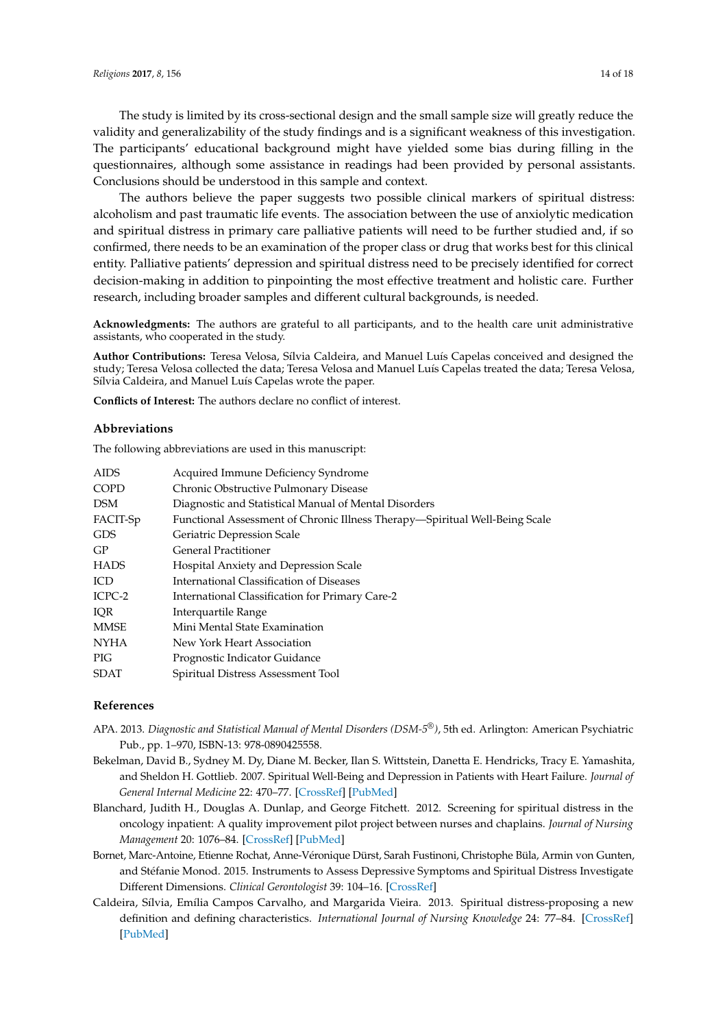The study is limited by its cross-sectional design and the small sample size will greatly reduce the validity and generalizability of the study findings and is a significant weakness of this investigation. The participants' educational background might have yielded some bias during filling in the questionnaires, although some assistance in readings had been provided by personal assistants. Conclusions should be understood in this sample and context.

The authors believe the paper suggests two possible clinical markers of spiritual distress: alcoholism and past traumatic life events. The association between the use of anxiolytic medication and spiritual distress in primary care palliative patients will need to be further studied and, if so confirmed, there needs to be an examination of the proper class or drug that works best for this clinical entity. Palliative patients' depression and spiritual distress need to be precisely identified for correct decision-making in addition to pinpointing the most effective treatment and holistic care. Further research, including broader samples and different cultural backgrounds, is needed.

**Acknowledgments:** The authors are grateful to all participants, and to the health care unit administrative assistants, who cooperated in the study.

**Author Contributions:** Teresa Velosa, Sílvia Caldeira, and Manuel Luís Capelas conceived and designed the study; Teresa Velosa collected the data; Teresa Velosa and Manuel Luís Capelas treated the data; Teresa Velosa, Sílvia Caldeira, and Manuel Luís Capelas wrote the paper.

**Conflicts of Interest:** The authors declare no conflict of interest.

## **Abbreviations**

The following abbreviations are used in this manuscript:

| AIDS     | Acquired Immune Deficiency Syndrome                                         |
|----------|-----------------------------------------------------------------------------|
| COPD     | Chronic Obstructive Pulmonary Disease                                       |
| DSM      | Diagnostic and Statistical Manual of Mental Disorders                       |
| FACIT-Sp | Functional Assessment of Chronic Illness Therapy—Spiritual Well-Being Scale |
| GDS      | Geriatric Depression Scale                                                  |
| GP       | <b>General Practitioner</b>                                                 |
| HADS     | Hospital Anxiety and Depression Scale                                       |
| ICD      | International Classification of Diseases                                    |
| ICPC-2   | International Classification for Primary Care-2                             |
| IOR      | Interquartile Range                                                         |
| MMSE     | Mini Mental State Examination                                               |
| NYHA     | New York Heart Association                                                  |
| PIG      | Prognostic Indicator Guidance                                               |
| SDAT     | Spiritual Distress Assessment Tool                                          |

## **References**

- <span id="page-13-0"></span>APA. 2013. *Diagnostic and Statistical Manual of Mental Disorders (DSM-5®)*, 5th ed. Arlington: American Psychiatric Pub., pp. 1–970, ISBN-13: 978-0890425558.
- <span id="page-13-2"></span>Bekelman, David B., Sydney M. Dy, Diane M. Becker, Ilan S. Wittstein, Danetta E. Hendricks, Tracy E. Yamashita, and Sheldon H. Gottlieb. 2007. Spiritual Well-Being and Depression in Patients with Heart Failure. *Journal of General Internal Medicine* 22: 470–77. [\[CrossRef\]](http://dx.doi.org/10.1007/s11606-006-0044-9) [\[PubMed\]](http://www.ncbi.nlm.nih.gov/pubmed/17372795)
- <span id="page-13-4"></span>Blanchard, Judith H., Douglas A. Dunlap, and George Fitchett. 2012. Screening for spiritual distress in the oncology inpatient: A quality improvement pilot project between nurses and chaplains. *Journal of Nursing Management* 20: 1076–84. [\[CrossRef\]](http://dx.doi.org/10.1111/jonm.12035) [\[PubMed\]](http://www.ncbi.nlm.nih.gov/pubmed/23151110)
- <span id="page-13-3"></span>Bornet, Marc-Antoine, Etienne Rochat, Anne-Véronique Dürst, Sarah Fustinoni, Christophe Büla, Armin von Gunten, and Stéfanie Monod. 2015. Instruments to Assess Depressive Symptoms and Spiritual Distress Investigate Different Dimensions. *Clinical Gerontologist* 39: 104–16. [\[CrossRef\]](http://dx.doi.org/10.1080/07317115.2015.1120255)
- <span id="page-13-1"></span>Caldeira, Sílvia, Emília Campos Carvalho, and Margarida Vieira. 2013. Spiritual distress-proposing a new definition and defining characteristics. *International Journal of Nursing Knowledge* 24: 77–84. [\[CrossRef\]](http://dx.doi.org/10.1111/j.2047-3095.2013.01234.x) [\[PubMed\]](http://www.ncbi.nlm.nih.gov/pubmed/23465219)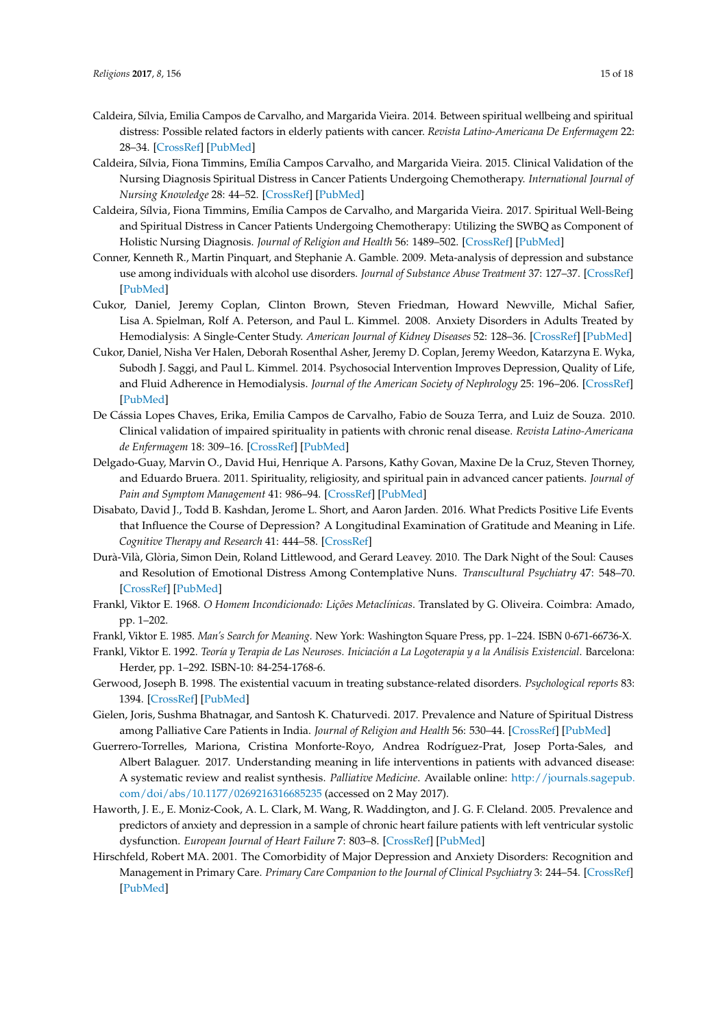- <span id="page-14-7"></span>Caldeira, Sílvia, Emilia Campos de Carvalho, and Margarida Vieira. 2014. Between spiritual wellbeing and spiritual distress: Possible related factors in elderly patients with cancer. *Revista Latino-Americana De Enfermagem* 22: 28–34. [\[CrossRef\]](http://dx.doi.org/10.1590/0104-1169.3073.2382) [\[PubMed\]](http://www.ncbi.nlm.nih.gov/pubmed/24553700)
- <span id="page-14-11"></span>Caldeira, Sílvia, Fiona Timmins, Emília Campos Carvalho, and Margarida Vieira. 2015. Clinical Validation of the Nursing Diagnosis Spiritual Distress in Cancer Patients Undergoing Chemotherapy. *International Journal of Nursing Knowledge* 28: 44–52. [\[CrossRef\]](http://dx.doi.org/10.1111/2047-3095.12105) [\[PubMed\]](http://www.ncbi.nlm.nih.gov/pubmed/26095541)
- <span id="page-14-15"></span>Caldeira, Sílvia, Fiona Timmins, Emília Campos de Carvalho, and Margarida Vieira. 2017. Spiritual Well-Being and Spiritual Distress in Cancer Patients Undergoing Chemotherapy: Utilizing the SWBQ as Component of Holistic Nursing Diagnosis. *Journal of Religion and Health* 56: 1489–502. [\[CrossRef\]](http://dx.doi.org/10.1007/s10943-017-0390-4) [\[PubMed\]](http://www.ncbi.nlm.nih.gov/pubmed/28409419)
- <span id="page-14-17"></span>Conner, Kenneth R., Martin Pinquart, and Stephanie A. Gamble. 2009. Meta-analysis of depression and substance use among individuals with alcohol use disorders. *Journal of Substance Abuse Treatment* 37: 127–37. [\[CrossRef\]](http://dx.doi.org/10.1016/j.jsat.2008.11.007) [\[PubMed\]](http://www.ncbi.nlm.nih.gov/pubmed/19150207)
- <span id="page-14-2"></span>Cukor, Daniel, Jeremy Coplan, Clinton Brown, Steven Friedman, Howard Newville, Michal Safier, Lisa A. Spielman, Rolf A. Peterson, and Paul L. Kimmel. 2008. Anxiety Disorders in Adults Treated by Hemodialysis: A Single-Center Study. *American Journal of Kidney Diseases* 52: 128–36. [\[CrossRef\]](http://dx.doi.org/10.1053/j.ajkd.2008.02.300) [\[PubMed\]](http://www.ncbi.nlm.nih.gov/pubmed/18440682)
- <span id="page-14-0"></span>Cukor, Daniel, Nisha Ver Halen, Deborah Rosenthal Asher, Jeremy D. Coplan, Jeremy Weedon, Katarzyna E. Wyka, Subodh J. Saggi, and Paul L. Kimmel. 2014. Psychosocial Intervention Improves Depression, Quality of Life, and Fluid Adherence in Hemodialysis. *Journal of the American Society of Nephrology* 25: 196–206. [\[CrossRef\]](http://dx.doi.org/10.1681/ASN.2012111134) [\[PubMed\]](http://www.ncbi.nlm.nih.gov/pubmed/24115478)
- <span id="page-14-8"></span>De Cássia Lopes Chaves, Erika, Emilia Campos de Carvalho, Fabio de Souza Terra, and Luiz de Souza. 2010. Clinical validation of impaired spirituality in patients with chronic renal disease. *Revista Latino-Americana de Enfermagem* 18: 309–16. [\[CrossRef\]](http://dx.doi.org/10.1590/S0104-11692010000300003) [\[PubMed\]](http://www.ncbi.nlm.nih.gov/pubmed/20721417)
- <span id="page-14-5"></span>Delgado-Guay, Marvin O., David Hui, Henrique A. Parsons, Kathy Govan, Maxine De la Cruz, Steven Thorney, and Eduardo Bruera. 2011. Spirituality, religiosity, and spiritual pain in advanced cancer patients. *Journal of Pain and Symptom Management* 41: 986–94. [\[CrossRef\]](http://dx.doi.org/10.1016/j.jpainsymman.2010.09.017) [\[PubMed\]](http://www.ncbi.nlm.nih.gov/pubmed/21402459)
- <span id="page-14-14"></span>Disabato, David J., Todd B. Kashdan, Jerome L. Short, and Aaron Jarden. 2016. What Predicts Positive Life Events that Influence the Course of Depression? A Longitudinal Examination of Gratitude and Meaning in Life. *Cognitive Therapy and Research* 41: 444–58. [\[CrossRef\]](http://dx.doi.org/10.1007/s10608-016-9785-x)
- <span id="page-14-12"></span>Durà-Vilà, Glòria, Simon Dein, Roland Littlewood, and Gerard Leavey. 2010. The Dark Night of the Soul: Causes and Resolution of Emotional Distress Among Contemplative Nuns. *Transcultural Psychiatry* 47: 548–70. [\[CrossRef\]](http://dx.doi.org/10.1177/1363461510374899) [\[PubMed\]](http://www.ncbi.nlm.nih.gov/pubmed/20940268)
- <span id="page-14-9"></span>Frankl, Viktor E. 1968. *O Homem Incondicionado: Lições Metaclínicas*. Translated by G. Oliveira. Coimbra: Amado, pp. 1–202.
- <span id="page-14-4"></span>Frankl, Viktor E. 1985. *Man's Search for Meaning*. New York: Washington Square Press, pp. 1–224. ISBN 0-671-66736-X.
- <span id="page-14-10"></span>Frankl, Viktor E. 1992. *Teoría y Terapia de Las Neuroses. Iniciación a La Logoterapia y a la Análisis Existencial*. Barcelona: Herder, pp. 1–292. ISBN-10: 84-254-1768-6.
- <span id="page-14-16"></span>Gerwood, Joseph B. 1998. The existential vacuum in treating substance-related disorders. *Psychological reports* 83: 1394. [\[CrossRef\]](http://dx.doi.org/10.2466/pr0.1998.83.3f.1394) [\[PubMed\]](http://www.ncbi.nlm.nih.gov/pubmed/10079731)
- <span id="page-14-6"></span>Gielen, Joris, Sushma Bhatnagar, and Santosh K. Chaturvedi. 2017. Prevalence and Nature of Spiritual Distress among Palliative Care Patients in India. *Journal of Religion and Health* 56: 530–44. [\[CrossRef\]](http://dx.doi.org/10.1007/s10943-016-0252-5) [\[PubMed\]](http://www.ncbi.nlm.nih.gov/pubmed/27154352)
- <span id="page-14-13"></span>Guerrero-Torrelles, Mariona, Cristina Monforte-Royo, Andrea Rodríguez-Prat, Josep Porta-Sales, and Albert Balaguer. 2017. Understanding meaning in life interventions in patients with advanced disease: A systematic review and realist synthesis. *Palliative Medicine*. Available online: [http://journals.sagepub.](http://journals.sagepub.com/doi/abs/10.1177/0269216316685235) [com/doi/abs/10.1177/0269216316685235](http://journals.sagepub.com/doi/abs/10.1177/0269216316685235) (accessed on 2 May 2017).
- <span id="page-14-1"></span>Haworth, J. E., E. Moniz-Cook, A. L. Clark, M. Wang, R. Waddington, and J. G. F. Cleland. 2005. Prevalence and predictors of anxiety and depression in a sample of chronic heart failure patients with left ventricular systolic dysfunction. *European Journal of Heart Failure* 7: 803–8. [\[CrossRef\]](http://dx.doi.org/10.1016/j.ejheart.2005.03.001) [\[PubMed\]](http://www.ncbi.nlm.nih.gov/pubmed/16054436)
- <span id="page-14-3"></span>Hirschfeld, Robert MA. 2001. The Comorbidity of Major Depression and Anxiety Disorders: Recognition and Management in Primary Care. *Primary Care Companion to the Journal of Clinical Psychiatry* 3: 244–54. [\[CrossRef\]](http://dx.doi.org/10.4088/PCC.v03n0609) [\[PubMed\]](http://www.ncbi.nlm.nih.gov/pubmed/15014592)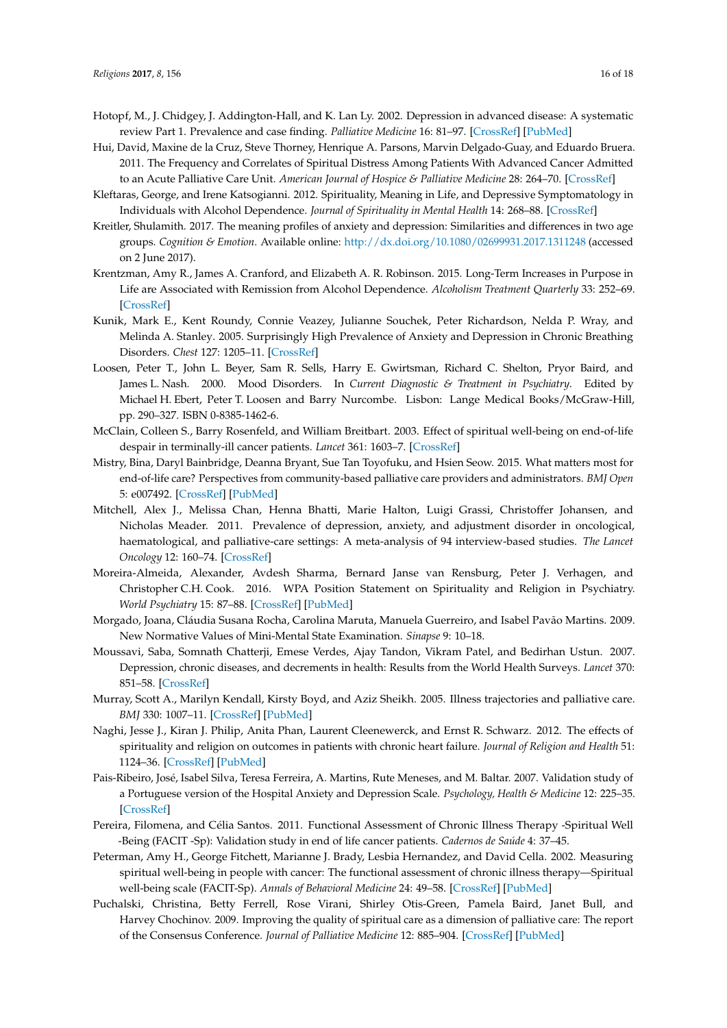- <span id="page-15-15"></span>Hotopf, M., J. Chidgey, J. Addington-Hall, and K. Lan Ly. 2002. Depression in advanced disease: A systematic review Part 1. Prevalence and case finding. *Palliative Medicine* 16: 81–97. [\[CrossRef\]](http://dx.doi.org/10.1191/02169216302pm507oa) [\[PubMed\]](http://www.ncbi.nlm.nih.gov/pubmed/11969152)
- <span id="page-15-7"></span>Hui, David, Maxine de la Cruz, Steve Thorney, Henrique A. Parsons, Marvin Delgado-Guay, and Eduardo Bruera. 2011. The Frequency and Correlates of Spiritual Distress Among Patients With Advanced Cancer Admitted to an Acute Palliative Care Unit. *American Journal of Hospice & Palliative Medicine* 28: 264–70. [\[CrossRef\]](http://dx.doi.org/10.1177/1049909110385917)
- <span id="page-15-18"></span>Kleftaras, George, and Irene Katsogianni. 2012. Spirituality, Meaning in Life, and Depressive Symptomatology in Individuals with Alcohol Dependence. *Journal of Spirituality in Mental Health* 14: 268–88. [\[CrossRef\]](http://dx.doi.org/10.1080/19349637.2012.730469)
- <span id="page-15-17"></span>Kreitler, Shulamith. 2017. The meaning profiles of anxiety and depression: Similarities and differences in two age groups. *Cognition & Emotion*. Available online: <http://dx.doi.org/10.1080/02699931.2017.1311248> (accessed on 2 June 2017).
- <span id="page-15-3"></span>Krentzman, Amy R., James A. Cranford, and Elizabeth A. R. Robinson. 2015. Long-Term Increases in Purpose in Life are Associated with Remission from Alcohol Dependence. *Alcoholism Treatment Quarterly* 33: 252–69. [\[CrossRef\]](http://dx.doi.org/10.1080/07347324.2015.1050924)
- <span id="page-15-1"></span>Kunik, Mark E., Kent Roundy, Connie Veazey, Julianne Souchek, Peter Richardson, Nelda P. Wray, and Melinda A. Stanley. 2005. Surprisingly High Prevalence of Anxiety and Depression in Chronic Breathing Disorders. *Chest* 127: 1205–11. [\[CrossRef\]](http://dx.doi.org/10.1016/S0012-3692(15)34468-8)
- <span id="page-15-2"></span>Loosen, Peter T., John L. Beyer, Sam R. Sells, Harry E. Gwirtsman, Richard C. Shelton, Pryor Baird, and James L. Nash. 2000. Mood Disorders. In *Current Diagnostic & Treatment in Psychiatry*. Edited by Michael H. Ebert, Peter T. Loosen and Barry Nurcombe. Lisbon: Lange Medical Books/McGraw-Hill, pp. 290–327. ISBN 0-8385-1462-6.
- <span id="page-15-14"></span>McClain, Colleen S., Barry Rosenfeld, and William Breitbart. 2003. Effect of spiritual well-being on end-of-life despair in terminally-ill cancer patients. *Lancet* 361: 1603–7. [\[CrossRef\]](http://dx.doi.org/10.1016/S0140-6736(03)13310-7)
- <span id="page-15-0"></span>Mistry, Bina, Daryl Bainbridge, Deanna Bryant, Sue Tan Toyofuku, and Hsien Seow. 2015. What matters most for end-of-life care? Perspectives from community-based palliative care providers and administrators. *BMJ Open* 5: e007492. [\[CrossRef\]](http://dx.doi.org/10.1136/bmjopen-2014-007492) [\[PubMed\]](http://www.ncbi.nlm.nih.gov/pubmed/26124510)
- <span id="page-15-16"></span>Mitchell, Alex J., Melissa Chan, Henna Bhatti, Marie Halton, Luigi Grassi, Christoffer Johansen, and Nicholas Meader. 2011. Prevalence of depression, anxiety, and adjustment disorder in oncological, haematological, and palliative-care settings: A meta-analysis of 94 interview-based studies. *The Lancet Oncology* 12: 160–74. [\[CrossRef\]](http://dx.doi.org/10.1016/S1470-2045(11)70002-X)
- <span id="page-15-4"></span>Moreira-Almeida, Alexander, Avdesh Sharma, Bernard Janse van Rensburg, Peter J. Verhagen, and Christopher C.H. Cook. 2016. WPA Position Statement on Spirituality and Religion in Psychiatry. *World Psychiatry* 15: 87–88. [\[CrossRef\]](http://dx.doi.org/10.1002/wps.20304) [\[PubMed\]](http://www.ncbi.nlm.nih.gov/pubmed/26833620)
- <span id="page-15-10"></span>Morgado, Joana, Cláudia Susana Rocha, Carolina Maruta, Manuela Guerreiro, and Isabel Pavão Martins. 2009. New Normative Values of Mini-Mental State Examination. *Sinapse* 9: 10–18.
- <span id="page-15-5"></span>Moussavi, Saba, Somnath Chatterji, Emese Verdes, Ajay Tandon, Vikram Patel, and Bedirhan Ustun. 2007. Depression, chronic diseases, and decrements in health: Results from the World Health Surveys. *Lancet* 370: 851–58. [\[CrossRef\]](http://dx.doi.org/10.1016/S0140-6736(07)61415-9)
- <span id="page-15-9"></span>Murray, Scott A., Marilyn Kendall, Kirsty Boyd, and Aziz Sheikh. 2005. Illness trajectories and palliative care. *BMJ* 330: 1007–11. [\[CrossRef\]](http://dx.doi.org/10.1136/bmj.330.7498.1007) [\[PubMed\]](http://www.ncbi.nlm.nih.gov/pubmed/15860828)
- <span id="page-15-8"></span>Naghi, Jesse J., Kiran J. Philip, Anita Phan, Laurent Cleenewerck, and Ernst R. Schwarz. 2012. The effects of spirituality and religion on outcomes in patients with chronic heart failure. *Journal of Religion and Health* 51: 1124–36. [\[CrossRef\]](http://dx.doi.org/10.1007/s10943-010-9419-7) [\[PubMed\]](http://www.ncbi.nlm.nih.gov/pubmed/23304705)
- <span id="page-15-11"></span>Pais-Ribeiro, José, Isabel Silva, Teresa Ferreira, A. Martins, Rute Meneses, and M. Baltar. 2007. Validation study of a Portuguese version of the Hospital Anxiety and Depression Scale. *Psychology, Health & Medicine* 12: 225–35. [\[CrossRef\]](http://dx.doi.org/10.1080/13548500500524088)
- <span id="page-15-13"></span>Pereira, Filomena, and Célia Santos. 2011. Functional Assessment of Chronic Illness Therapy -Spiritual Well -Being (FACIT -Sp): Validation study in end of life cancer patients. *Cadernos de Saúde* 4: 37–45.
- <span id="page-15-12"></span>Peterman, Amy H., George Fitchett, Marianne J. Brady, Lesbia Hernandez, and David Cella. 2002. Measuring spiritual well-being in people with cancer: The functional assessment of chronic illness therapy—Spiritual well-being scale (FACIT-Sp). *Annals of Behavioral Medicine* 24: 49–58. [\[CrossRef\]](http://dx.doi.org/10.1207/S15324796ABM2401_06) [\[PubMed\]](http://www.ncbi.nlm.nih.gov/pubmed/12008794)
- <span id="page-15-6"></span>Puchalski, Christina, Betty Ferrell, Rose Virani, Shirley Otis-Green, Pamela Baird, Janet Bull, and Harvey Chochinov. 2009. Improving the quality of spiritual care as a dimension of palliative care: The report of the Consensus Conference. *Journal of Palliative Medicine* 12: 885–904. [\[CrossRef\]](http://dx.doi.org/10.1089/jpm.2009.0142) [\[PubMed\]](http://www.ncbi.nlm.nih.gov/pubmed/19807235)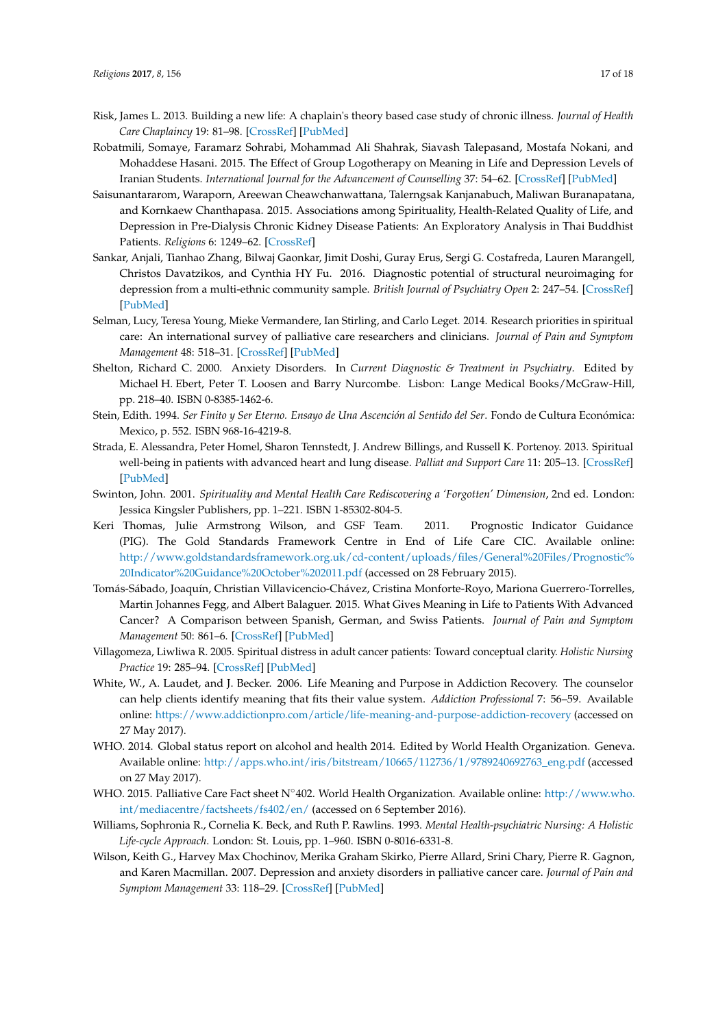- <span id="page-16-9"></span>Risk, James L. 2013. Building a new life: A chaplain's theory based case study of chronic illness. *Journal of Health Care Chaplaincy* 19: 81–98. [\[CrossRef\]](http://dx.doi.org/10.1080/08854726.2013.806117) [\[PubMed\]](http://www.ncbi.nlm.nih.gov/pubmed/23844842)
- <span id="page-16-15"></span>Robatmili, Somaye, Faramarz Sohrabi, Mohammad Ali Shahrak, Siavash Talepasand, Mostafa Nokani, and Mohaddese Hasani. 2015. The Effect of Group Logotherapy on Meaning in Life and Depression Levels of Iranian Students. *International Journal for the Advancement of Counselling* 37: 54–62. [\[CrossRef\]](http://dx.doi.org/10.1007/s10447-014-9225-0) [\[PubMed\]](http://www.ncbi.nlm.nih.gov/pubmed/25774068)
- <span id="page-16-12"></span>Saisunantararom, Waraporn, Areewan Cheawchanwattana, Talerngsak Kanjanabuch, Maliwan Buranapatana, and Kornkaew Chanthapasa. 2015. Associations among Spirituality, Health-Related Quality of Life, and Depression in Pre-Dialysis Chronic Kidney Disease Patients: An Exploratory Analysis in Thai Buddhist Patients. *Religions* 6: 1249–62. [\[CrossRef\]](http://dx.doi.org/10.3390/rel6041249)
- <span id="page-16-3"></span>Sankar, Anjali, Tianhao Zhang, Bilwaj Gaonkar, Jimit Doshi, Guray Erus, Sergi G. Costafreda, Lauren Marangell, Christos Davatzikos, and Cynthia HY Fu. 2016. Diagnostic potential of structural neuroimaging for depression from a multi-ethnic community sample. *British Journal of Psychiatry Open* 2: 247–54. [\[CrossRef\]](http://dx.doi.org/10.1192/bjpo.bp.115.002493) [\[PubMed\]](http://www.ncbi.nlm.nih.gov/pubmed/27703783)
- <span id="page-16-10"></span>Selman, Lucy, Teresa Young, Mieke Vermandere, Ian Stirling, and Carlo Leget. 2014. Research priorities in spiritual care: An international survey of palliative care researchers and clinicians. *Journal of Pain and Symptom Management* 48: 518–31. [\[CrossRef\]](http://dx.doi.org/10.1016/j.jpainsymman.2013.10.020) [\[PubMed\]](http://www.ncbi.nlm.nih.gov/pubmed/24680625)
- <span id="page-16-4"></span>Shelton, Richard C. 2000. Anxiety Disorders. In *Current Diagnostic & Treatment in Psychiatry*. Edited by Michael H. Ebert, Peter T. Loosen and Barry Nurcombe. Lisbon: Lange Medical Books/McGraw-Hill, pp. 218–40. ISBN 0-8385-1462-6.
- <span id="page-16-7"></span>Stein, Edith. 1994. *Ser Finito y Ser Eterno. Ensayo de Una Ascención al Sentido del Ser*. Fondo de Cultura Económica: Mexico, p. 552. ISBN 968-16-4219-8.
- <span id="page-16-11"></span>Strada, E. Alessandra, Peter Homel, Sharon Tennstedt, J. Andrew Billings, and Russell K. Portenoy. 2013. Spiritual well-being in patients with advanced heart and lung disease. *Palliat and Support Care* 11: 205–13. [\[CrossRef\]](http://dx.doi.org/10.1017/S1478951512000065) [\[PubMed\]](http://www.ncbi.nlm.nih.gov/pubmed/22840215)
- <span id="page-16-2"></span>Swinton, John. 2001. *Spirituality and Mental Health Care Rediscovering a 'Forgotten' Dimension*, 2nd ed. London: Jessica Kingsler Publishers, pp. 1–221. ISBN 1-85302-804-5.
- <span id="page-16-13"></span>Keri Thomas, Julie Armstrong Wilson, and GSF Team. 2011. Prognostic Indicator Guidance (PIG). The Gold Standards Framework Centre in End of Life Care CIC. Available online: [http://www.goldstandardsframework.org.uk/cd-content/uploads/files/General%20Files/Prognostic%](http://www.goldstandardsframework.org.uk/cd-content/uploads/files/General%20Files/Prognostic%20Indicator%20Guidance%20October%202011.pdf) [20Indicator%20Guidance%20October%202011.pdf](http://www.goldstandardsframework.org.uk/cd-content/uploads/files/General%20Files/Prognostic%20Indicator%20Guidance%20October%202011.pdf) (accessed on 28 February 2015).
- <span id="page-16-16"></span>Tomás-Sábado, Joaquín, Christian Villavicencio-Chávez, Cristina Monforte-Royo, Mariona Guerrero-Torrelles, Martin Johannes Fegg, and Albert Balaguer. 2015. What Gives Meaning in Life to Patients With Advanced Cancer? A Comparison between Spanish, German, and Swiss Patients. *Journal of Pain and Symptom Management* 50: 861–6. [\[CrossRef\]](http://dx.doi.org/10.1016/j.jpainsymman.2015.06.015) [\[PubMed\]](http://www.ncbi.nlm.nih.gov/pubmed/26297849)
- <span id="page-16-14"></span>Villagomeza, Liwliwa R. 2005. Spiritual distress in adult cancer patients: Toward conceptual clarity. *Holistic Nursing Practice* 19: 285–94. [\[CrossRef\]](http://dx.doi.org/10.1097/00004650-200511000-00010) [\[PubMed\]](http://www.ncbi.nlm.nih.gov/pubmed/16269948)
- <span id="page-16-6"></span>White, W., A. Laudet, and J. Becker. 2006. Life Meaning and Purpose in Addiction Recovery. The counselor can help clients identify meaning that fits their value system. *Addiction Professional* 7: 56–59. Available online: <https://www.addictionpro.com/article/life-meaning-and-purpose-addiction-recovery> (accessed on 27 May 2017).
- <span id="page-16-5"></span>WHO. 2014. Global status report on alcohol and health 2014. Edited by World Health Organization. Geneva. Available online: [http://apps.who.int/iris/bitstream/10665/112736/1/9789240692763\\_eng.pdf](http://apps.who.int/iris/bitstream/10665/112736/1/9789240692763_eng.pdf) (accessed on 27 May 2017).
- <span id="page-16-0"></span>WHO. 2015. Palliative Care Fact sheet N◦402. World Health Organization. Available online: [http://www.who.](http://www.who.int/mediacentre/factsheets/fs402/en/) [int/mediacentre/factsheets/fs402/en/](http://www.who.int/mediacentre/factsheets/fs402/en/) (accessed on 6 September 2016).
- <span id="page-16-8"></span>Williams, Sophronia R., Cornelia K. Beck, and Ruth P. Rawlins. 1993. *Mental Health-psychiatric Nursing: A Holistic Life-cycle Approach*. London: St. Louis, pp. 1–960. ISBN 0-8016-6331-8.
- <span id="page-16-1"></span>Wilson, Keith G., Harvey Max Chochinov, Merika Graham Skirko, Pierre Allard, Srini Chary, Pierre R. Gagnon, and Karen Macmillan. 2007. Depression and anxiety disorders in palliative cancer care. *Journal of Pain and Symptom Management* 33: 118–29. [\[CrossRef\]](http://dx.doi.org/10.1016/j.jpainsymman.2006.07.016) [\[PubMed\]](http://www.ncbi.nlm.nih.gov/pubmed/17280918)